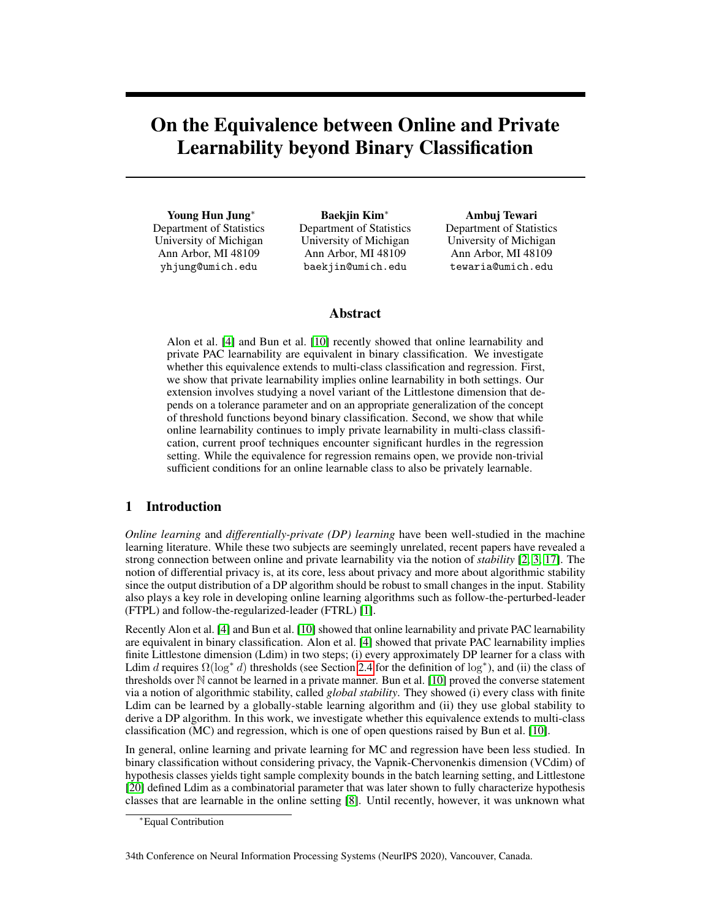# On the Equivalence between Online and Private Learnability beyond Binary Classification

Young Hun Jung<sup>∗</sup> Department of Statistics University of Michigan Ann Arbor, MI 48109 yhjung@umich.edu

Baekjin Kim<sup>∗</sup> Department of Statistics University of Michigan Ann Arbor, MI 48109 baekjin@umich.edu

Ambuj Tewari Department of Statistics University of Michigan Ann Arbor, MI 48109 tewaria@umich.edu

# Abstract

Alon et al. [\[4\]](#page-8-0) and Bun et al. [\[10\]](#page-8-1) recently showed that online learnability and private PAC learnability are equivalent in binary classification. We investigate whether this equivalence extends to multi-class classification and regression. First, we show that private learnability implies online learnability in both settings. Our extension involves studying a novel variant of the Littlestone dimension that depends on a tolerance parameter and on an appropriate generalization of the concept of threshold functions beyond binary classification. Second, we show that while online learnability continues to imply private learnability in multi-class classification, current proof techniques encounter significant hurdles in the regression setting. While the equivalence for regression remains open, we provide non-trivial sufficient conditions for an online learnable class to also be privately learnable.

# 1 Introduction

*Online learning* and *differentially-private (DP) learning* have been well-studied in the machine learning literature. While these two subjects are seemingly unrelated, recent papers have revealed a strong connection between online and private learnability via the notion of *stability* [\[2,](#page-8-2) [3,](#page-8-3) [17\]](#page-9-0). The notion of differential privacy is, at its core, less about privacy and more about algorithmic stability since the output distribution of a DP algorithm should be robust to small changes in the input. Stability also plays a key role in developing online learning algorithms such as follow-the-perturbed-leader (FTPL) and follow-the-regularized-leader (FTRL) [\[1\]](#page-8-4).

Recently Alon et al. [\[4\]](#page-8-0) and Bun et al. [\[10\]](#page-8-1) showed that online learnability and private PAC learnability are equivalent in binary classification. Alon et al. [\[4\]](#page-8-0) showed that private PAC learnability implies finite Littlestone dimension (Ldim) in two steps; (i) every approximately DP learner for a class with Ldim d requires  $\Omega(\log^* d)$  thresholds (see Section [2.4](#page-3-0) for the definition of  $\log^*$ ), and (ii) the class of thresholds over N cannot be learned in a private manner. Bun et al. [\[10\]](#page-8-1) proved the converse statement via a notion of algorithmic stability, called *global stability*. They showed (i) every class with finite Ldim can be learned by a globally-stable learning algorithm and (ii) they use global stability to derive a DP algorithm. In this work, we investigate whether this equivalence extends to multi-class classification (MC) and regression, which is one of open questions raised by Bun et al. [\[10\]](#page-8-1).

In general, online learning and private learning for MC and regression have been less studied. In binary classification without considering privacy, the Vapnik-Chervonenkis dimension (VCdim) of hypothesis classes yields tight sample complexity bounds in the batch learning setting, and Littlestone [\[20\]](#page-9-1) defined Ldim as a combinatorial parameter that was later shown to fully characterize hypothesis classes that are learnable in the online setting [\[8\]](#page-8-5). Until recently, however, it was unknown what

34th Conference on Neural Information Processing Systems (NeurIPS 2020), Vancouver, Canada.

<sup>∗</sup>Equal Contribution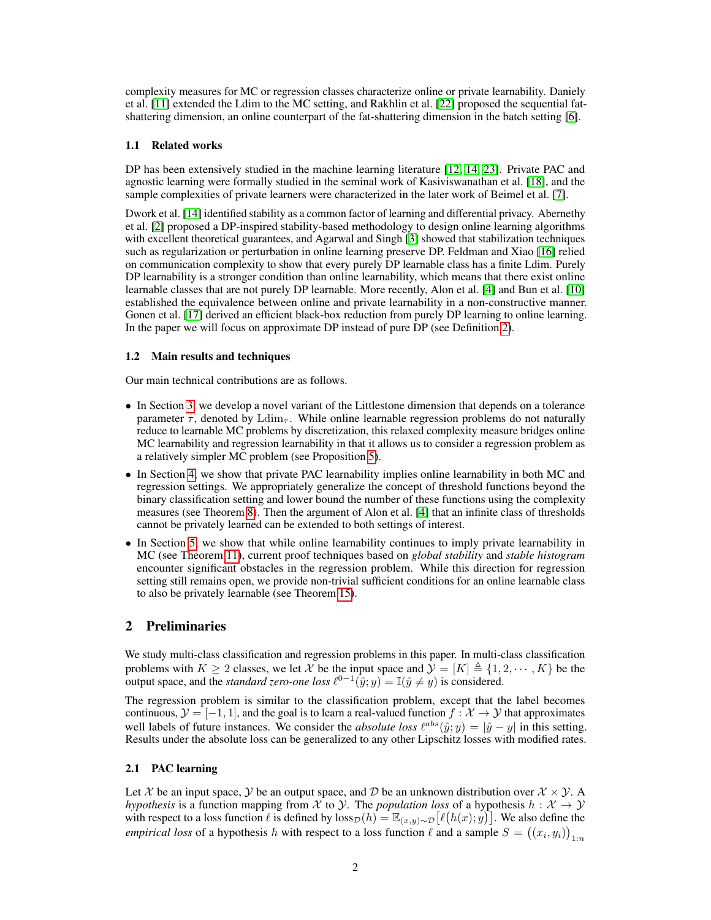complexity measures for MC or regression classes characterize online or private learnability. Daniely et al. [\[11\]](#page-9-2) extended the Ldim to the MC setting, and Rakhlin et al. [\[22\]](#page-9-3) proposed the sequential fatshattering dimension, an online counterpart of the fat-shattering dimension in the batch setting [\[6\]](#page-8-6).

# 1.1 Related works

DP has been extensively studied in the machine learning literature [\[12,](#page-9-4) [14,](#page-9-5) [23\]](#page-9-6). Private PAC and agnostic learning were formally studied in the seminal work of Kasiviswanathan et al. [\[18\]](#page-9-7), and the sample complexities of private learners were characterized in the later work of Beimel et al. [\[7\]](#page-8-7).

Dwork et al. [\[14\]](#page-9-5) identified stability as a common factor of learning and differential privacy. Abernethy et al. [\[2\]](#page-8-2) proposed a DP-inspired stability-based methodology to design online learning algorithms with excellent theoretical guarantees, and Agarwal and Singh [\[3\]](#page-8-3) showed that stabilization techniques such as regularization or perturbation in online learning preserve DP. Feldman and Xiao [\[16\]](#page-9-8) relied on communication complexity to show that every purely DP learnable class has a finite Ldim. Purely DP learnability is a stronger condition than online learnability, which means that there exist online learnable classes that are not purely DP learnable. More recently, Alon et al. [\[4\]](#page-8-0) and Bun et al. [\[10\]](#page-8-1) established the equivalence between online and private learnability in a non-constructive manner. Gonen et al. [\[17\]](#page-9-0) derived an efficient black-box reduction from purely DP learning to online learning. In the paper we will focus on approximate DP instead of pure DP (see Definition [2\)](#page-2-0).

# 1.2 Main results and techniques

Our main technical contributions are as follows.

- In Section [3,](#page-3-1) we develop a novel variant of the Littlestone dimension that depends on a tolerance parameter  $\tau$ , denoted by  $\text{Ldim}_{\tau}$ . While online learnable regression problems do not naturally reduce to learnable MC problems by discretization, this relaxed complexity measure bridges online MC learnability and regression learnability in that it allows us to consider a regression problem as a relatively simpler MC problem (see Proposition [5\)](#page-4-0).
- In Section [4,](#page-4-1) we show that private PAC learnability implies online learnability in both MC and regression settings. We appropriately generalize the concept of threshold functions beyond the binary classification setting and lower bound the number of these functions using the complexity measures (see Theorem [8\)](#page-5-0). Then the argument of Alon et al. [\[4\]](#page-8-0) that an infinite class of thresholds cannot be privately learned can be extended to both settings of interest.
- In Section [5,](#page-6-0) we show that while online learnability continues to imply private learnability in MC (see Theorem [11\)](#page-6-1), current proof techniques based on *global stability* and *stable histogram* encounter significant obstacles in the regression problem. While this direction for regression setting still remains open, we provide non-trivial sufficient conditions for an online learnable class to also be privately learnable (see Theorem [15\)](#page-7-0).

# 2 Preliminaries

We study multi-class classification and regression problems in this paper. In multi-class classification problems with  $K \ge 2$  classes, we let X be the input space and  $\mathcal{Y} = [K] \triangleq \{1, 2, \cdots, K\}$  be the output space, and the *standard zero-one loss*  $\ell^{0-1}(\hat{y}; y) = \mathbb{I}(\hat{y} \neq y)$  is considered.

The regression problem is similar to the classification problem, except that the label becomes continuous,  $\mathcal{Y} = [-1, 1]$ , and the goal is to learn a real-valued function  $f : \mathcal{X} \to \mathcal{Y}$  that approximates well labels of future instances. We consider the *absolute loss*  $\ell^{abs}(\hat{y}; y) = |\hat{y} - y|$  in this setting. Results under the absolute loss can be generalized to any other Lipschitz losses with modified rates.

# 2.1 PAC learning

Let X be an input space,  $\mathcal{Y}$  be an output space, and  $\mathcal{D}$  be an unknown distribution over  $\mathcal{X} \times \mathcal{Y}$ . *hypothesis* is a function mapping from  $\mathcal X$  to  $\mathcal Y$ . The *population loss* of a hypothesis  $h : \mathcal X \to \mathcal Y$ with respect to a loss function  $\ell$  is defined by  $\text{loss}_{\mathcal{D}}(h) = \mathbb{E}_{(x,y)\sim\mathcal{D}}[\ell(h(x); y)]$ . We also define the *empirical loss* of a hypothesis h with respect to a loss function  $\ell$  and a sample  $S = ((x_i, y_i))_{1:n}$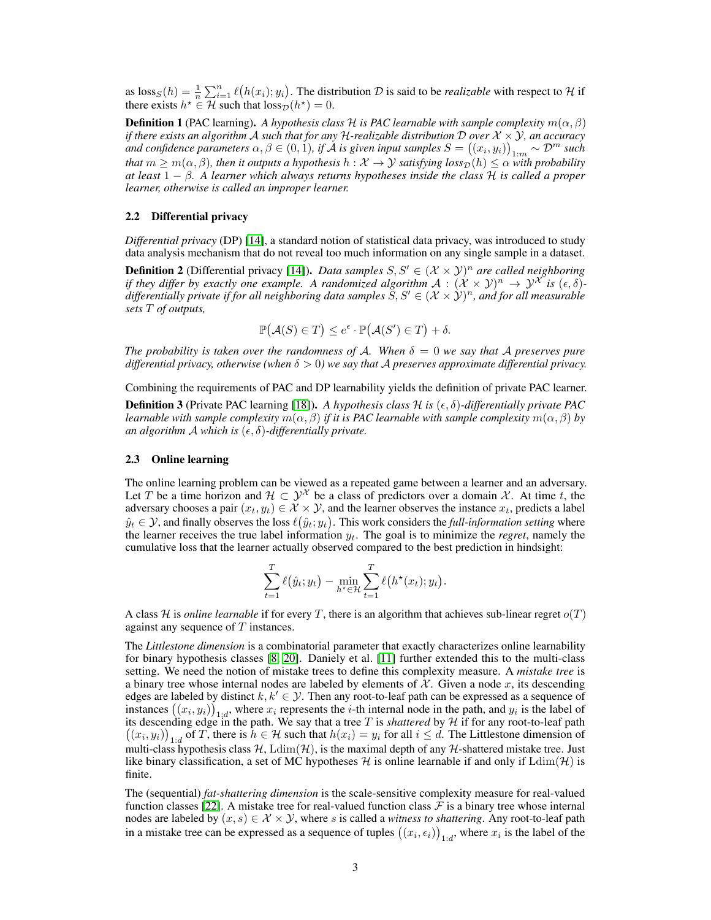as  $\text{loss}_S(h) = \frac{1}{n} \sum_{i=1}^n \ell(h(x_i); y_i)$ . The distribution D is said to be *realizable* with respect to H if there exists  $h^* \in \mathcal{H}$  such that  $loss_{\mathcal{D}}(h^*) = 0$ .

<span id="page-2-1"></span>**Definition 1** (PAC learning). A hypothesis class H is PAC learnable with sample complexity  $m(\alpha, \beta)$ *if there exists an algorithm* A *such that for any* H-realizable distribution D over  $\mathcal{X} \times \mathcal{Y}$ , an accuracy and confidence parameters  $\alpha, \beta \in (0,1)$ , if  $\AA$  is given input samples  $S = \big( (x_i, y_i) \big)_{1:m} \sim \mathcal{D}^m$  such *that*  $m \geq m(\alpha, \beta)$ , then it outputs a hypothesis  $h: \mathcal{X} \to \mathcal{Y}$  satisfying  $loss_{\mathcal{D}}(h) \leq \alpha$  with probability *at least* 1 − β*. A learner which always returns hypotheses inside the class* H *is called a proper learner, otherwise is called an improper learner.*

### 2.2 Differential privacy

*Differential privacy* (DP) [\[14\]](#page-9-5), a standard notion of statistical data privacy, was introduced to study data analysis mechanism that do not reveal too much information on any single sample in a dataset.

<span id="page-2-0"></span>**Definition 2** (Differential privacy [\[14\]](#page-9-5)). *Data samples*  $S, S' \in (\mathcal{X} \times \mathcal{Y})^n$  are called neighboring *if they differ by exactly one example. A randomized algorithm*  $A: (\mathcal{X} \times \mathcal{Y})^n \to \mathcal{Y}^{\mathcal{X}}$  *is*  $(\epsilon, \delta)$ differentially private if for all neighboring data samples  $\tilde{S},S'\in (\mathcal{X}\times\mathcal{Y})^n$ , and for all measurable *sets* T *of outputs,*

$$
\mathbb{P}(\mathcal{A}(S) \in T) \le e^{\epsilon} \cdot \mathbb{P}(\mathcal{A}(S') \in T) + \delta.
$$

*The probability is taken over the randomness of A. When*  $\delta = 0$  *we say that* A *preserves pure differential privacy, otherwise (when*  $\delta > 0$ ) we say that A preserves approximate differential privacy.

Combining the requirements of PAC and DP learnability yields the definition of private PAC learner.

**Definition 3** (Private PAC learning [\[18\]](#page-9-7)). A hypothesis class  $\mathcal{H}$  is  $(\epsilon, \delta)$ -differentially private PAC *learnable with sample complexity*  $m(\alpha, \beta)$  *if it is PAC learnable with sample complexity*  $m(\alpha, \beta)$  *by an algorithm* A *which is*  $(\epsilon, \delta)$ *-differentially private.* 

### 2.3 Online learning

The online learning problem can be viewed as a repeated game between a learner and an adversary. Let T be a time horizon and  $\mathcal{H} \subset \mathcal{Y}^{\mathcal{X}}$  be a class of predictors over a domain X. At time t, the adversary chooses a pair  $(x_t, y_t) \in \mathcal{X} \times \mathcal{Y}$ , and the learner observes the instance  $x_t$ , predicts a label  $\hat{y}_t \in \mathcal{Y}$ , and finally observes the loss  $\ell(\hat{y}_t; y_t)$ . This work considers the *full-information setting* where the learner receives the true label information  $y_t$ . The goal is to minimize the *regret*, namely the cumulative loss that the learner actually observed compared to the best prediction in hindsight:

$$
\sum_{t=1}^T \ell(\hat{y}_t; y_t) - \min_{h^* \in \mathcal{H}} \sum_{t=1}^T \ell(h^*(x_t); y_t).
$$

A class  $H$  is *online learnable* if for every T, there is an algorithm that achieves sub-linear regret  $o(T)$ against any sequence of T instances.

The *Littlestone dimension* is a combinatorial parameter that exactly characterizes online learnability for binary hypothesis classes [\[8,](#page-8-5) [20\]](#page-9-1). Daniely et al. [\[11\]](#page-9-2) further extended this to the multi-class setting. We need the notion of mistake trees to define this complexity measure. A *mistake tree* is a binary tree whose internal nodes are labeled by elements of  $X$ . Given a node x, its descending edges are labeled by distinct  $k, k' \in \mathcal{Y}$ . Then any root-to-leaf path can be expressed as a sequence of instances  $((x_i, y_i))_{1 \leq d}$ , where  $x_i$  represents the *i*-th internal node in the path, and  $y_i$  is the label of its descending edge in the path. We say that a tree T is *shattered* by H if for any root-to-leaf path its descending edge in the path. We say that a tree T is *shattered* by H if for any root-to-leaf path  $((x_i, y_i))_{1:d}$  of T, there is  $h \in \mathcal{H}$  such that  $h(x_i) = y_i$  for all  $i \leq d$ . The Littlestone dimension of multi-class hypothesis class  $H$ ,  $\text{Ldim}(\mathcal{H})$ , is the maximal depth of any  $\mathcal{H}$ -shattered mistake tree. Just like binary classification, a set of MC hypotheses  $H$  is online learnable if and only if  $\text{Ldim}(\mathcal{H})$  is finite.

The (sequential) *fat-shattering dimension* is the scale-sensitive complexity measure for real-valued function classes [\[22\]](#page-9-3). A mistake tree for real-valued function class  $\mathcal F$  is a binary tree whose internal nodes are labeled by  $(x, s) \in \mathcal{X} \times \mathcal{Y}$ , where s is called a *witness to shattering*. Any root-to-leaf path in a mistake tree can be expressed as a sequence of tuples  $((x_i, \epsilon_i))_{1:d}$ , where  $x_i$  is the label of the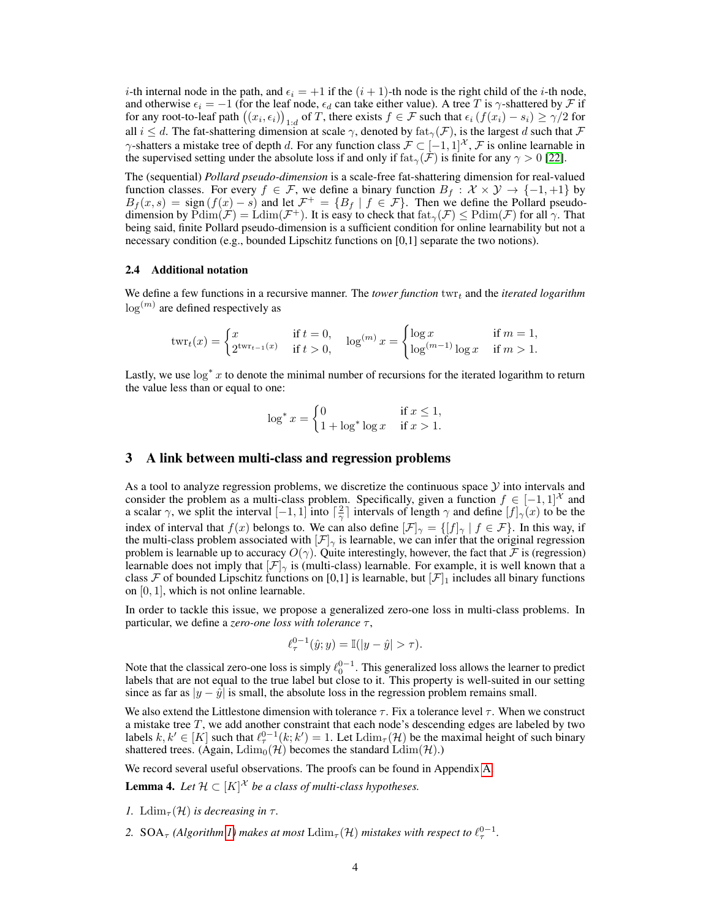*i*-th internal node in the path, and  $\epsilon_i = +1$  if the  $(i + 1)$ -th node is the right child of the *i*-th node, and otherwise  $\epsilon_i = -1$  (for the leaf node,  $\epsilon_d$  can take either value). A tree T is  $\gamma$ -shattered by F if for any root-to-leaf path  $((x_i, \epsilon_i))_{1:d}$  of T, there exists  $f \in \mathcal{F}$  such that  $\epsilon_i$   $(f(x_i) - s_i) \ge \gamma/2$  for all  $i \leq d$ . The fat-shattering dimension at scale  $\gamma$ , denoted by  $f_{\text{at}}(\mathcal{F})$ , is the largest d such that  $\mathcal F$  $\gamma$ -shatters a mistake tree of depth d. For any function class  $\mathcal{F} \subset [-1,1]^{\mathcal{X}}, \mathcal{F}$  is online learnable in the supervised setting under the absolute loss if and only if  $f_{\text{at}}(\mathcal{F})$  is finite for any  $\gamma > 0$  [\[22\]](#page-9-3).

The (sequential) *Pollard pseudo-dimension* is a scale-free fat-shattering dimension for real-valued function classes. For every  $f \in \mathcal{F}$ , we define a binary function  $B_f : \mathcal{X} \times \mathcal{Y} \to \{-1, +1\}$  by  $B_f(x,s) = \text{sign}(f(x) - s)$  and let  $\mathcal{F}^+ = \{B_f \mid f \in \mathcal{F}\}\$ . Then we define the Pollard pseudodimension by  $\text{Pdim}(\mathcal{F}) = \text{Ldim}(\mathcal{F}^+)$ . It is easy to check that  $\text{fat}_{\gamma}(\mathcal{F}) \leq \text{Pdim}(\mathcal{F})$  for all  $\gamma$ . That being said, finite Pollard pseudo-dimension is a sufficient condition for online learnability but not a necessary condition (e.g., bounded Lipschitz functions on [0,1] separate the two notions).

### <span id="page-3-0"></span>2.4 Additional notation

We define a few functions in a recursive manner. The *tower function*  $\text{tw}_{t}$  and the *iterated logarithm*  $\log^{(m)}$  are defined respectively as

$$
twr_t(x) = \begin{cases} x & \text{if } t = 0, \\ 2^{twr_{t-1}(x)} & \text{if } t > 0, \end{cases} \quad \log^{(m)} x = \begin{cases} \log x & \text{if } m = 1, \\ \log^{(m-1)} \log x & \text{if } m > 1. \end{cases}
$$

Lastly, we use  $\log^* x$  to denote the minimal number of recursions for the iterated logarithm to return the value less than or equal to one:

$$
\log^* x = \begin{cases} 0 & \text{if } x \le 1, \\ 1 + \log^* \log x & \text{if } x > 1. \end{cases}
$$

### <span id="page-3-1"></span>3 A link between multi-class and regression problems

As a tool to analyze regression problems, we discretize the continuous space  $\mathcal Y$  into intervals and consider the problem as a multi-class problem. Specifically, given a function  $f \in [-1,1]^{\mathcal{X}}$  and a scalar  $\gamma$ , we split the interval  $[-1, 1]$  into  $\lceil \frac{2}{\gamma} \rceil$  intervals of length  $\gamma$  and define  $[f]_{\gamma}(x)$  to be the index of interval that  $f(x)$  belongs to. We can also define  $[\mathcal{F}]_{\gamma} = \{[f]_{\gamma} | f \in \mathcal{F}\}\.$  In this way, if the multi-class problem associated with  $[\mathcal{F}]_{\gamma}$  is learnable, we can infer that the original regression problem is learnable up to accuracy  $O(\gamma)$ . Quite interestingly, however, the fact that F is (regression) learnable does not imply that  $|\mathcal{F}|_{\gamma}$  is (multi-class) learnable. For example, it is well known that a class F of bounded Lipschitz functions on [0,1] is learnable, but  $|\mathcal{F}|_1$  includes all binary functions on [0, 1], which is not online learnable.

In order to tackle this issue, we propose a generalized zero-one loss in multi-class problems. In particular, we define a *zero-one loss with tolerance* τ,

$$
\ell_{\tau}^{0-1}(\hat{y}; y) = \mathbb{I}(|y - \hat{y}| > \tau).
$$

Note that the classical zero-one loss is simply  $\ell_0^{0-1}$ . This generalized loss allows the learner to predict labels that are not equal to the true label but close to it. This property is well-suited in our setting since as far as  $|y - \hat{y}|$  is small, the absolute loss in the regression problem remains small.

We also extend the Littlestone dimension with tolerance  $\tau$ . Fix a tolerance level  $\tau$ . When we construct a mistake tree  $T$ , we add another constraint that each node's descending edges are labeled by two labels  $k, k' \in [K]$  such that  $\ell_{\tau}^{0-1}(k; k') = 1$ . Let  $\text{Ldim}_{\tau}(\mathcal{H})$  be the maximal height of such binary shattered trees. (Again,  $\text{Ldim}_0(\mathcal{H})$  becomes the standard  $\text{Ldim}(\mathcal{H})$ .)

We record several useful observations. The proofs can be found in Appendix [A.](#page-10-0)

<span id="page-3-2"></span>**Lemma 4.** Let  $\mathcal{H} \subset [K]^{\mathcal{X}}$  be a class of multi-class hypotheses.

- *1.* Ldim<sub> $\tau$ </sub>(H) *is decreasing in*  $\tau$ .
- 2. SOA<sub> $\tau$ </sub> (Algorithm [1\)](#page-4-2) makes at most  $\mathrm{Ldim}_{\tau}(\mathcal{H})$  mistakes with respect to  $\ell_{\tau}^{0-1}$ .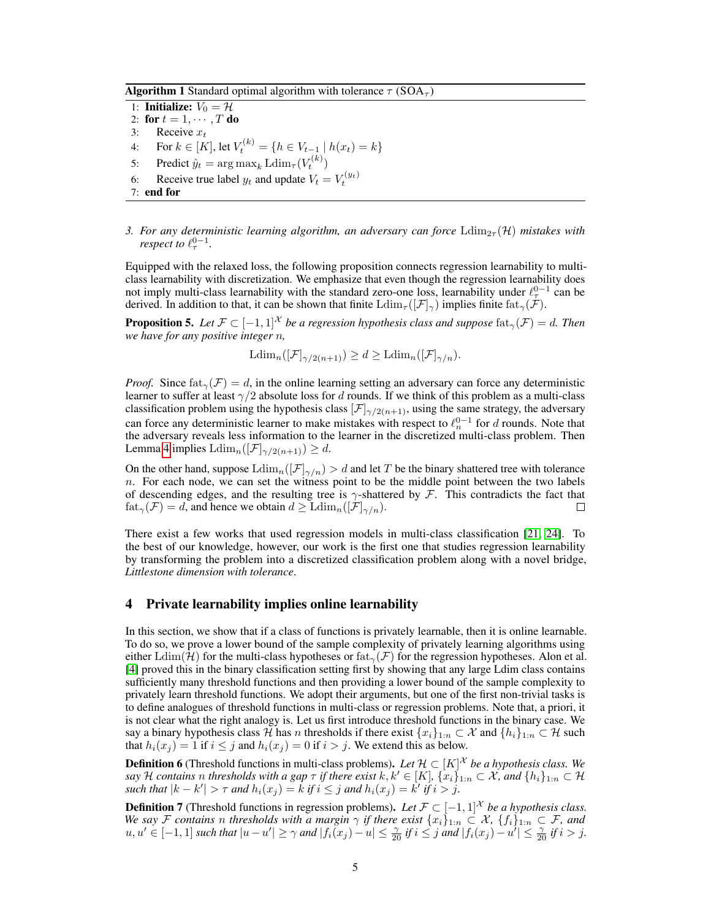**Algorithm 1** Standard optimal algorithm with tolerance  $\tau$  (SOA<sub> $\tau$ </sub>)

1: **Initialize:**  $V_0 = \mathcal{H}$ 2: for  $t = 1, \cdots, T$  do 3: Receive  $x_t$ 4: For  $k \in [K]$ , let  $V_t^{(k)} = \{h \in V_{t-1} \mid h(x_t) = k\}$ 5: Predict  $\hat{y}_t = \arg \max_k \mathrm{Ldim}_{\tau}(V_t^{(k)})$ 6: Receive true label  $y_t$  and update  $V_t = V_t^{(y_t)}$ 7: end for

<span id="page-4-2"></span>*3. For any deterministic learning algorithm, an adversary can force*  $\text{Ldim}_{2\tau}(\mathcal{H})$  *mistakes with respect to*  $\ell_{\tau}^{0-1}$ .

Equipped with the relaxed loss, the following proposition connects regression learnability to multiclass learnability with discretization. We emphasize that even though the regression learnability does not imply multi-class learnability with the standard zero-one loss, learnability under  $\ell_{\tau}^{0-1}$  can be derived. In addition to that, it can be shown that finite  $\text{Ldim}_{\tau}([\mathcal{F}]_{\gamma})$  implies finite  $\text{fat}_{\gamma}(\mathcal{F})$ .

<span id="page-4-0"></span>**Proposition 5.** Let  $\mathcal{F} \subset [-1,1]^{\mathcal{X}}$  be a regression hypothesis class and suppose  $\text{fat}_{\gamma}(\mathcal{F}) = d$ . Then *we have for any positive integer* n*,*

$$
\mathrm{Ldim}_n([\mathcal{F}]_{\gamma/2(n+1)}) \ge d \ge \mathrm{Ldim}_n([\mathcal{F}]_{\gamma/n}).
$$

*Proof.* Since  $\text{fat}_{\gamma}(\mathcal{F}) = d$ , in the online learning setting an adversary can force any deterministic learner to suffer at least  $\gamma/2$  absolute loss for d rounds. If we think of this problem as a multi-class classification problem using the hypothesis class  $[\mathcal{F}]_{\gamma/2(n+1)}$ , using the same strategy, the adversary can force any deterministic learner to make mistakes with respect to  $\ell_n^{0-1}$  for d rounds. Note that the adversary reveals less information to the learner in the discretized multi-class problem. Then Lemma [4](#page-3-2) implies  $\text{Ldim}_n([\mathcal{F}]_{\gamma/2(n+1)}) \geq d$ .

On the other hand, suppose  $\mathrm{Ldim}_n([\mathcal{F}]_{\gamma/n}) > d$  and let T be the binary shattered tree with tolerance  $n.$  For each node, we can set the witness point to be the middle point between the two labels of descending edges, and the resulting tree is  $\gamma$ -shattered by F. This contradicts the fact that  $f \text{at}_{\gamma}(\mathcal{F}) = d$ , and hence we obtain  $d \geq \text{Ldim}_n([\mathcal{F}]_{\gamma/n})$ . ⊔

There exist a few works that used regression models in multi-class classification [\[21,](#page-9-9) [24\]](#page-9-10). To the best of our knowledge, however, our work is the first one that studies regression learnability by transforming the problem into a discretized classification problem along with a novel bridge, *Littlestone dimension with tolerance*.

# <span id="page-4-1"></span>4 Private learnability implies online learnability

In this section, we show that if a class of functions is privately learnable, then it is online learnable. To do so, we prove a lower bound of the sample complexity of privately learning algorithms using either Ldim(H) for the multi-class hypotheses or fat $_{\gamma}(\mathcal{F})$  for the regression hypotheses. Alon et al. [\[4\]](#page-8-0) proved this in the binary classification setting first by showing that any large Ldim class contains sufficiently many threshold functions and then providing a lower bound of the sample complexity to privately learn threshold functions. We adopt their arguments, but one of the first non-trivial tasks is to define analogues of threshold functions in multi-class or regression problems. Note that, a priori, it is not clear what the right analogy is. Let us first introduce threshold functions in the binary case. We say a binary hypothesis class H has n thresholds if there exist  $\{x_i\}_{1:n} \subset \mathcal{X}$  and  $\{h_i\}_{1:n} \subset \mathcal{H}$  such that  $h_i(x_j) = 1$  if  $i \leq j$  and  $h_i(x_j) = 0$  if  $i > j$ . We extend this as below.

**Definition 6** (Threshold functions in multi-class problems). Let  $\mathcal{H} \subset [K]^{\mathcal{X}}$  be a hypothesis class. We *say* H contains  $n$  thresholds with a gap  $\tau$  if there exist  $k, k' \in [K]$ ,  $\{x_i\}_{1:n} \subset \mathcal{X}$ , and  $\{h_i\}_{1:n} \subset \mathcal{H}$ *such that*  $|k - k'| > \tau$  *and*  $h_i(x_j) = k$  *if*  $i \leq j$  *and*  $h_i(x_j) = k'$  *if*  $i > j$ *.* 

<span id="page-4-3"></span>**Definition 7** (Threshold functions in regression problems). Let  $\mathcal{F} \subset [-1,1]^{\mathcal{X}}$  *be a hypothesis class. We say* F contains n thresholds with a margin  $\gamma$  if there exist  $\{x_i\}_{1:n} \subset \mathcal{X}$ ,  $\{f_i\}_{1:n} \subset \mathcal{F}$ , and  $u, u' \in [-1, 1]$  such that  $|u - u'| \ge \gamma$  and  $|f_i(x_j) - u| \le \frac{\gamma}{20}$  if  $i \le j$  and  $|f_i(x_j) - u'| \le \frac{\gamma}{20}$  if  $i > j$ .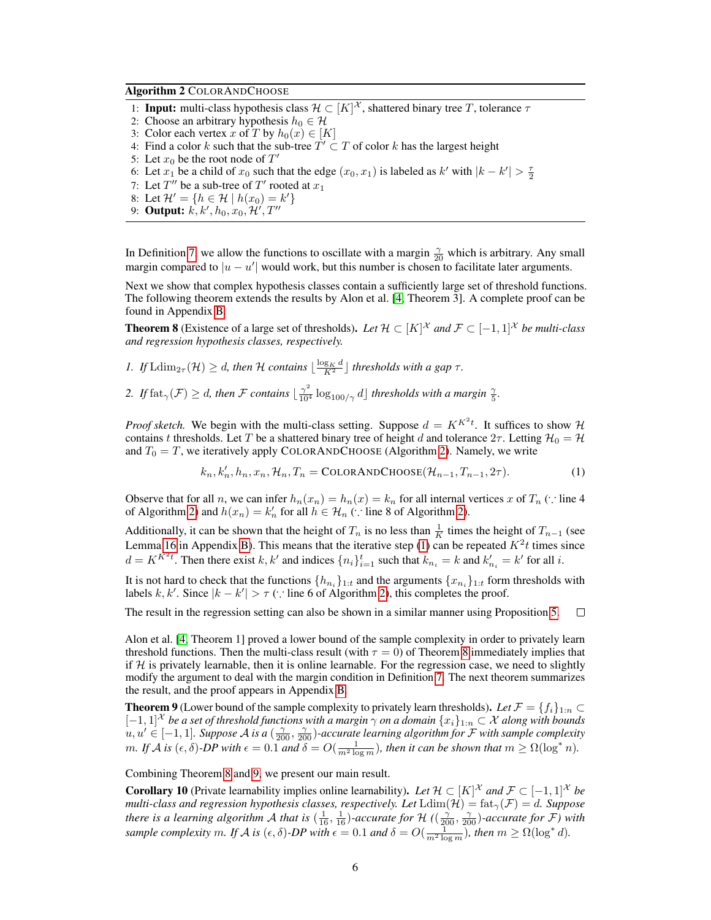### Algorithm 2 COLORANDCHOOSE

- 1: **Input:** multi-class hypothesis class  $\mathcal{H} \subset [K]^{\mathcal{X}}$ , shattered binary tree T, tolerance  $\tau$
- 2: Choose an arbitrary hypothesis  $h_0 \in \mathcal{H}$
- 3: Color each vertex x of T by  $h_0(x) \in [K]$
- 4: Find a color k such that the sub-tree  $\overline{T}' \subset T$  of color k has the largest height
- 5: Let  $x_0$  be the root node of  $T'$
- 6: Let  $x_1$  be a child of  $x_0$  such that the edge  $(x_0, x_1)$  is labeled as  $k'$  with  $|k k'| > \frac{\tau}{2}$
- 7: Let  $T''$  be a sub-tree of  $T'$  rooted at  $x_1$
- 8: Let  $\mathcal{H}' = \{ h \in \mathcal{H} \mid h(x_0) = k' \}$
- <span id="page-5-1"></span>9: **Output:**  $k, k', h_0, x_0, \mathcal{H}', T''$

In Definition [7,](#page-4-3) we allow the functions to oscillate with a margin  $\frac{\gamma}{20}$  which is arbitrary. Any small margin compared to  $|u - u'|$  would work, but this number is chosen to facilitate later arguments.

Next we show that complex hypothesis classes contain a sufficiently large set of threshold functions. The following theorem extends the results by Alon et al. [\[4,](#page-8-0) Theorem 3]. A complete proof can be found in Appendix [B.](#page-10-1)

<span id="page-5-0"></span>**Theorem 8** (Existence of a large set of thresholds). Let  $\mathcal{H} \subset [K]^{\mathcal{X}}$  and  $\mathcal{F} \subset [-1,1]^{\mathcal{X}}$  be multi-class *and regression hypothesis classes, respectively.*

- *1.* If  $\text{Ldim}_{2\tau}(\mathcal{H}) \geq d$ , then  $\mathcal{H}$  contains  $\lfloor \frac{\log_K d}{K^2} \rfloor$  thresholds with a gap  $\tau$ .
- 2. If  $\text{fat}_{\gamma}(\mathcal{F}) \geq d$ , then  $\mathcal F$  *contains*  $\lfloor \frac{\gamma^2}{10^4} \log_{100/\gamma} d \rfloor$  thresholds with a margin  $\frac{\gamma}{5}$ .

*Proof sketch.* We begin with the multi-class setting. Suppose  $d = K^{K^2 t}$ . It suffices to show H contains t thresholds. Let T be a shattered binary tree of height d and tolerance  $2\tau$ . Letting  $\mathcal{H}_0 = \mathcal{H}$ and  $T_0 = T$ , we iteratively apply COLORANDCHOOSE (Algorithm [2\)](#page-5-1). Namely, we write

<span id="page-5-2"></span>
$$
k_n, k'_n, h_n, x_n, \mathcal{H}_n, T_n = \text{COLORANDCHOOSE}(\mathcal{H}_{n-1}, T_{n-1}, 2\tau). \tag{1}
$$

Observe that for all n, we can infer  $h_n(x_n) = h_n(x) = k_n$  for all internal vertices x of  $T_n$  (∵ line 4 of Algorithm [2\)](#page-5-1) and  $h(x_n) = k'_n$  for all  $h \in \mathcal{H}_n$  (: line 8 of Algorithm 2).

Additionally, it can be shown that the height of  $T_n$  is no less than  $\frac{1}{K}$  times the height of  $T_{n-1}$  (see Lemma [16](#page-10-2) in Appendix [B\)](#page-10-1). This means that the iterative step [\(1\)](#page-5-2) can be repeated  $K^2t$  times since  $d = K^{K^2 t}$ . Then there exist k, k' and indices  $\{n_i\}_{i=1}^t$  such that  $k_{n_i} = k$  and  $k'_{n_i} = k'$  for all i.

It is not hard to check that the functions  $\{h_{n_i}\}_{1:t}$  and the arguments  $\{x_{n_i}\}_{1:t}$  form thresholds with labels k, k'. Since  $|k - k'| > \tau$  (: line 6 of Algorithm [2\)](#page-5-1), this completes the proof.

The result in the regression setting can also be shown in a similar manner using Proposition [5.](#page-4-0)  $\Box$ 

Alon et al. [\[4,](#page-8-0) Theorem 1] proved a lower bound of the sample complexity in order to privately learn threshold functions. Then the multi-class result (with  $\tau = 0$ ) of Theorem [8](#page-5-0) immediately implies that if  $H$  is privately learnable, then it is online learnable. For the regression case, we need to slightly modify the argument to deal with the margin condition in Definition [7.](#page-4-3) The next theorem summarizes the result, and the proof appears in Appendix [B.](#page-10-1)

<span id="page-5-3"></span>**Theorem 9** (Lower bound of the sample complexity to privately learn thresholds). Let  $\mathcal{F} = \{f_i\}_{1:n} \subset$  $[-1,1]^{\mathcal{X}}$  *be a set of threshold functions with a margin*  $\gamma$  *on a domain*  $\{x_i\}_{1:n} \subset \mathcal{X}$  *along with bounds*  $u, u' \in [-1, 1]$ . Suppose A is a  $(\frac{\gamma}{200}, \frac{\gamma}{200})$ -accurate learning algorithm for F with sample complexity *m.* If A is  $(\epsilon, \delta)$ -DP with  $\epsilon = 0.1$  and  $\delta = O(\frac{1}{m^2 \log m})$ , then it can be shown that  $m \ge \Omega(\log^* n)$ .

Combining Theorem [8](#page-5-0) and [9,](#page-5-3) we present our main result.

**Corollary 10** (Private learnability implies online learnability). Let  $\mathcal{H} \subset [K]^{\mathcal{X}}$  and  $\mathcal{F} \subset [-1,1]^{\mathcal{X}}$  be *multi-class and regression hypothesis classes, respectively. Let*  $\text{Ldim}(\mathcal{H}) = \text{fat}_\gamma(\mathcal{F}) = d$ . Suppose *there is a learning algorithm A that is*  $(\frac{1}{16}, \frac{1}{16})$ -accurate for H  $((\frac{\gamma}{200}, \frac{\gamma}{200})$ -accurate for F) with *sample complexity* m. If  $\mathcal A$  *is*  $(\epsilon, \delta)$ -*DP* with  $\epsilon = 0.1$  *and*  $\delta = O(\frac{1}{m^2 \log m})$ , *then*  $m \ge \Omega(\log^* d)$ *.*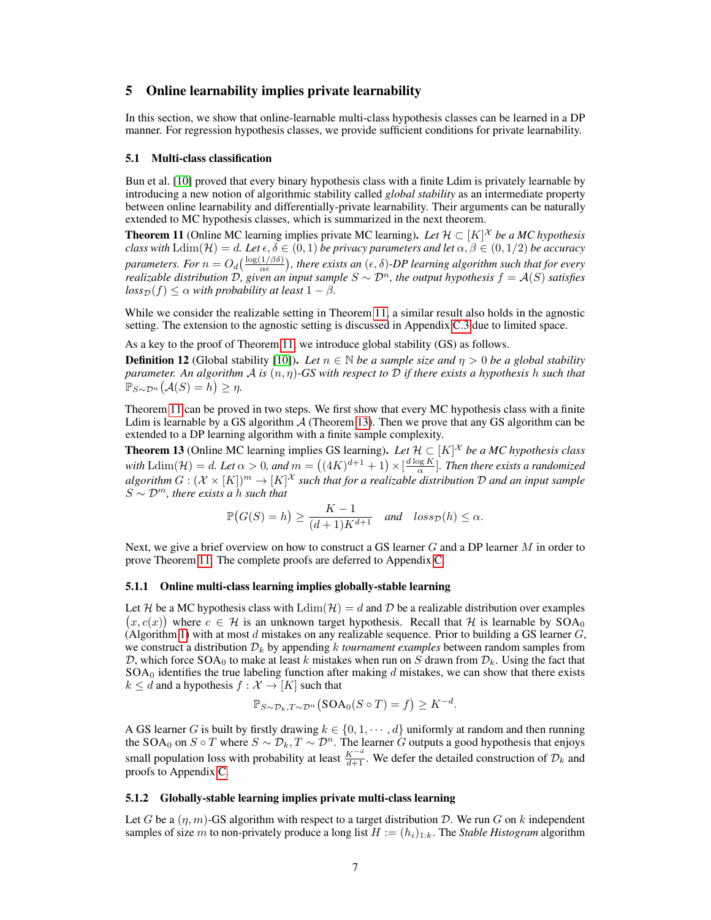# <span id="page-6-0"></span>5 Online learnability implies private learnability

In this section, we show that online-learnable multi-class hypothesis classes can be learned in a DP manner. For regression hypothesis classes, we provide sufficient conditions for private learnability.

#### <span id="page-6-3"></span>5.1 Multi-class classification

Bun et al. [\[10\]](#page-8-1) proved that every binary hypothesis class with a finite Ldim is privately learnable by introducing a new notion of algorithmic stability called *global stability* as an intermediate property between online learnability and differentially-private learnability. Their arguments can be naturally extended to MC hypothesis classes, which is summarized in the next theorem.

<span id="page-6-1"></span>**Theorem 11** (Online MC learning implies private MC learning). Let  $\mathcal{H} \subset [K]^{\mathcal{X}}$  be a MC hypothesis *class with*  $\text{Ldim}(\mathcal{H}) = d$ *. Let*  $\epsilon, \delta \in (0,1)$  *be privacy parameters and let*  $\alpha, \beta \in (0,1/2)$  *be accuracy* parameters. For  $n=O_d(\frac{\log(1/\beta\delta)}{\alpha\epsilon})$ , there exists an  $(\epsilon,\delta)$ -DP learning algorithm such that for every *realizable distribution* D, given an input sample  $S \sim \mathcal{D}^n$ , the output hypothesis  $f = \mathcal{A}(S)$  satisfies  $loss_{\mathcal{D}}(f) \leq \alpha$  *with probability at least*  $1 - \beta$ *.* 

While we consider the realizable setting in Theorem [11,](#page-6-1) a similar result also holds in the agnostic setting. The extension to the agnostic setting is discussed in Appendix [C.3](#page-18-0) due to limited space.

As a key to the proof of Theorem [11,](#page-6-1) we introduce global stability (GS) as follows.

**Definition 12** (Global stability [\[10\]](#page-8-1)). Let  $n \in \mathbb{N}$  be a sample size and  $\eta > 0$  be a global stability *parameter. An algorithm* A *is* (n, η)*-GS with respect to* D *if there exists a hypothesis* h *such that*  $\mathbb{P}_{S \sim \mathcal{D}^n}(\mathcal{A}(S) = h) \geq \eta.$ 

Theorem [11](#page-6-1) can be proved in two steps. We first show that every MC hypothesis class with a finite Ldim is learnable by a GS algorithm  $A$  (Theorem [13\)](#page-6-2). Then we prove that any GS algorithm can be extended to a DP learning algorithm with a finite sample complexity.

<span id="page-6-2"></span>**Theorem 13** (Online MC learning implies GS learning). Let  $\mathcal{H} \subset [K]^{\mathcal{X}}$  be a MC hypothesis class with  $\text{Ldim}(\mathcal{H}) = d$ *. Let*  $\alpha > 0$ *, and*  $m = ((4K)^{d+1} + 1) \times [\frac{d \log K}{\alpha}]$ *. Then there exists a randomized* algorithm  $G:(\mathcal{X}\times[K])^m\to[K]^{\mathcal{X}}$  such that for a realizable distribution  $\mathcal D$  and an input sample  $S \sim \mathcal{D}^m$ , there exists a h such that

$$
\mathbb{P}\big(G(S)=h\big)\geq \frac{K-1}{(d+1)K^{d+1}} \quad \text{and} \quad loss_{\mathcal{D}}(h)\leq \alpha.
$$

Next, we give a brief overview on how to construct a GS learner  $G$  and a DP learner  $M$  in order to prove Theorem [11.](#page-6-1) The complete proofs are deferred to Appendix [C.](#page-14-0)

### 5.1.1 Online multi-class learning implies globally-stable learning

Let H be a MC hypothesis class with  $\text{Ldim}(\mathcal{H}) = d$  and D be a realizable distribution over examples  $(x, c(x))$  where  $c \in \mathcal{H}$  is an unknown target hypothesis. Recall that H is learnable by SOA<sub>0</sub> (Algorithm [1\)](#page-4-2) with at most d mistakes on any realizable sequence. Prior to building a GS learner  $G$ , we construct a distribution  $\mathcal{D}_k$  by appending k *tournament examples* between random samples from D, which force SOA<sub>0</sub> to make at least k mistakes when run on S drawn from  $\mathcal{D}_k$ . Using the fact that  $SOA<sub>0</sub>$  identifies the true labeling function after making d mistakes, we can show that there exists  $k \le d$  and a hypothesis  $f : \mathcal{X} \to [K]$  such that

$$
\mathbb{P}_{S \sim \mathcal{D}_k, T \sim \mathcal{D}^n}(\text{SOA}_0(S \circ T) = f) \geq K^{-d}.
$$

A GS learner G is built by firstly drawing  $k \in \{0, 1, \dots, d\}$  uniformly at random and then running the SOA<sub>0</sub> on S ∘ T where  $S \sim \mathcal{D}_k$ ,  $T \sim \mathcal{D}^n$ . The learner G outputs a good hypothesis that enjoys small population loss with probability at least  $\frac{K^{-d}}{d+1}$ . We defer the detailed construction of  $\mathcal{D}_k$  and proofs to Appendix [C.](#page-14-0)

### 5.1.2 Globally-stable learning implies private multi-class learning

Let G be a  $(\eta, m)$ -GS algorithm with respect to a target distribution D. We run G on k independent samples of size m to non-privately produce a long list  $H := (h_i)_{1:k}$ . The *Stable Histogram* algorithm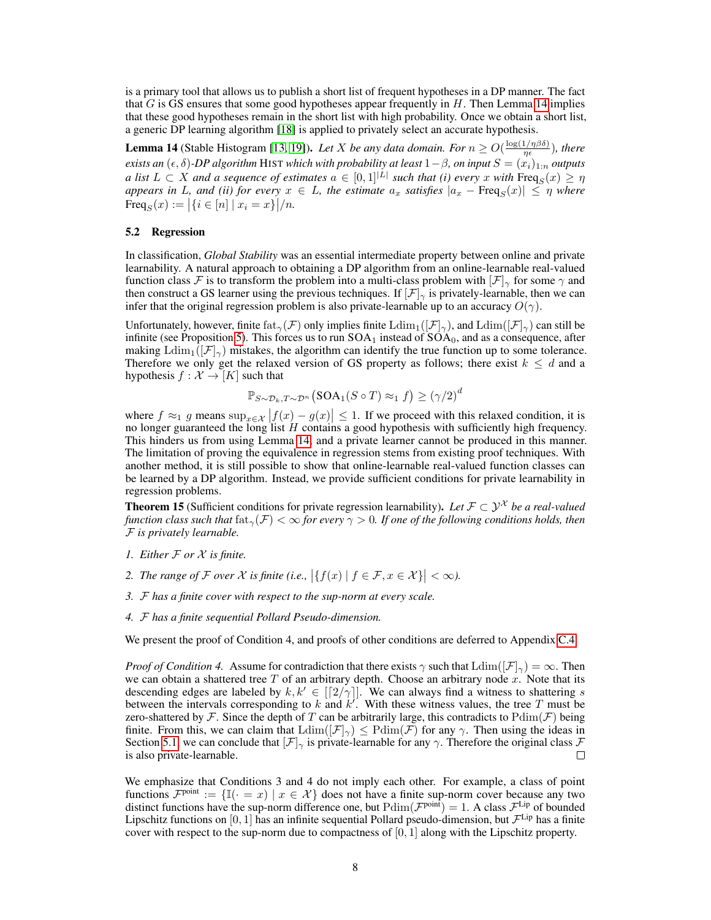is a primary tool that allows us to publish a short list of frequent hypotheses in a DP manner. The fact that  $G$  is GS ensures that some good hypotheses appear frequently in  $H$ . Then Lemma [14](#page-7-1) implies that these good hypotheses remain in the short list with high probability. Once we obtain a short list, a generic DP learning algorithm [\[18\]](#page-9-7) is applied to privately select an accurate hypothesis.

<span id="page-7-1"></span>**Lemma 14** (Stable Histogram [\[13,](#page-9-11) [19\]](#page-9-12)). *Let* X *be any data domain. For*  $n \geq O(\frac{\log(1/n\beta\delta)}{n\epsilon})$  $\frac{(1/\eta \rho \sigma)}{\eta \epsilon}$ ), there  $e$ xists an  $(\epsilon, \delta)$ -DP algorithm <code>HIST</code> which with probability at least  $1-\beta$ , on input  $S=(x_i)_{1:n}$  outputs *a* list  $L \subset X$  and a sequence of estimates  $a \in [0,1]^{|L|}$  such that (i) every x with  $\text{Freq}_S(x) \geq \eta$ *appears in L<sub>,</sub> and (ii) for every*  $x \in L$ , the estimate  $a_x$  *satisfies*  $|a_x - \text{Freq}_S(x)| \leq \eta$  *where* Freq<sub>S</sub> $(x) := |\{i \in [n] \mid x_i = x\}|/n$ .

### 5.2 Regression

In classification, *Global Stability* was an essential intermediate property between online and private learnability. A natural approach to obtaining a DP algorithm from an online-learnable real-valued function class F is to transform the problem into a multi-class problem with  $[\mathcal{F}]_{\gamma}$  for some  $\gamma$  and then construct a GS learner using the previous techniques. If  $[\mathcal{F}]_{\gamma}$  is privately-learnable, then we can infer that the original regression problem is also private-learnable up to an accuracy  $O(\gamma)$ .

Unfortunately, however, finite fat<sub>γ</sub>(F) only implies finite  $\text{Ldim}_1(|\mathcal{F}|_{\gamma})$ , and  $\text{Ldim}(|\mathcal{F}|_{\gamma})$  can still be infinite (see Proposition [5\)](#page-4-0). This forces us to run  $SOA<sub>1</sub>$  instead of  $SOA<sub>0</sub>$ , and as a consequence, after making  $\text{Ldim}_1([\mathcal{F}]_{\gamma})$  mistakes, the algorithm can identify the true function up to some tolerance. Therefore we only get the relaxed version of GS property as follows; there exist  $k \leq d$  and a hypothesis  $f : \mathcal{X} \to [K]$  such that

$$
\mathbb{P}_{S \sim \mathcal{D}_k, T \sim \mathcal{D}^n}(\text{SOA}_1(S \circ T) \approx_1 f) \geq (\gamma/2)^d
$$

where  $f \approx_1 g$  means  $\sup_{x \in \mathcal{X}} |f(x) - g(x)| \leq 1$ . If we proceed with this relaxed condition, it is no longer guaranteed the long list H contains a good hypothesis with sufficiently high frequency. This hinders us from using Lemma [14,](#page-7-1) and a private learner cannot be produced in this manner. The limitation of proving the equivalence in regression stems from existing proof techniques. With another method, it is still possible to show that online-learnable real-valued function classes can be learned by a DP algorithm. Instead, we provide sufficient conditions for private learnability in regression problems.

<span id="page-7-0"></span>**Theorem 15** (Sufficient conditions for private regression learnability). Let  $\mathcal{F} \subset \mathcal{Y}^{\mathcal{X}}$  be a real-valued *function class such that*  $f_{\text{at}}(\mathcal{F}) < \infty$  *for every*  $\gamma > 0$ . If one of the following conditions holds, then F *is privately learnable.*

- *1. Either* F *or* X *is finite.*
- 2. The range of  $\mathcal F$  over  $\mathcal X$  is finite (i.e.,  $\big|\{f(x) \mid f \in \mathcal F, x \in \mathcal X\}\big| < \infty$ ).
- *3.* F *has a finite cover with respect to the sup-norm at every scale.*
- *4.* F *has a finite sequential Pollard Pseudo-dimension.*

We present the proof of Condition 4, and proofs of other conditions are deferred to Appendix [C.4.](#page-18-1)

*Proof of Condition 4.* Assume for contradiction that there exists  $\gamma$  such that  $\text{Ldim}(|\mathcal{F}|_{\gamma}) = \infty$ . Then we can obtain a shattered tree T of an arbitrary depth. Choose an arbitrary node x. Note that its descending edges are labeled by  $k, k' \in [[2/\gamma]]$ . We can always find a witness to shattering s between the intervals corresponding to k and  $k'$ . With these witness values, the tree T must be zero-shattered by F. Since the depth of T can be arbitrarily large, this contradicts to  $Pdim(\mathcal{F})$  being finite. From this, we can claim that  $\text{Ldim}(\mathcal{F})_{\gamma} \leq \text{Pdim}(\mathcal{F})$  for any  $\gamma$ . Then using the ideas in Section [5.1,](#page-6-3) we can conclude that  $[\mathcal{F}]_{\gamma}$  is private-learnable for any  $\gamma$ . Therefore the original class  $\mathcal F$ is also private-learnable. П

We emphasize that Conditions 3 and 4 do not imply each other. For example, a class of point functions  $\mathcal{F}^{\text{point}} := \{ \mathbb{I}(\cdot = x) \mid x \in \mathcal{X} \}$  does not have a finite sup-norm cover because any two distinct functions have the sup-norm difference one, but  $Pdim(\mathcal{F}^{point}) = 1$ . A class  $\mathcal{F}^{Lip}$  of bounded Lipschitz functions on [0, 1] has an infinite sequential Pollard pseudo-dimension, but  $\mathcal{F}^{\rm Lip}$  has a finite cover with respect to the sup-norm due to compactness of  $[0, 1]$  along with the Lipschitz property.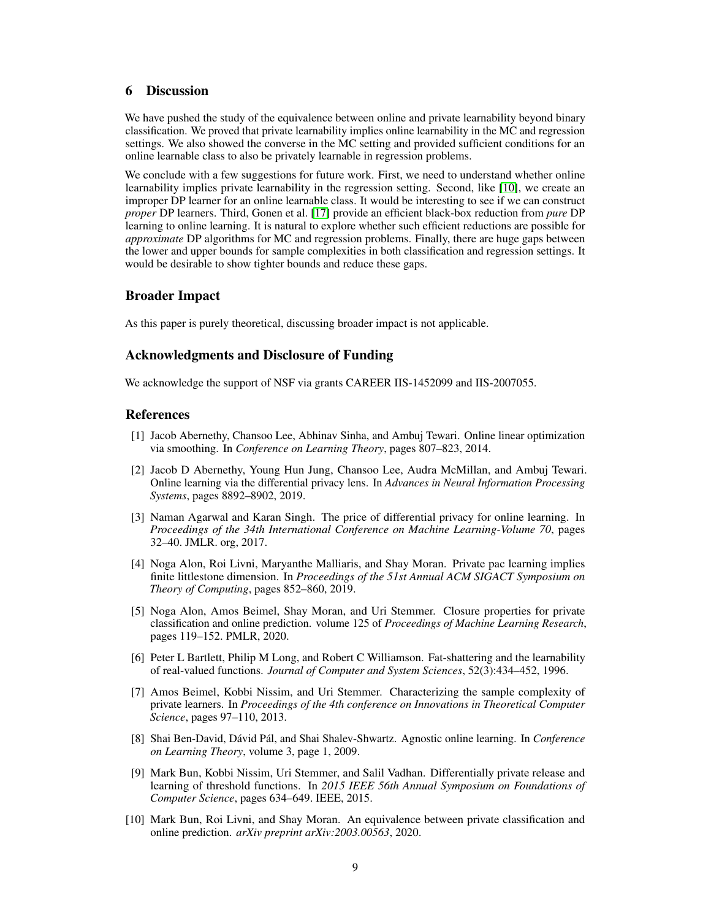# 6 Discussion

We have pushed the study of the equivalence between online and private learnability beyond binary classification. We proved that private learnability implies online learnability in the MC and regression settings. We also showed the converse in the MC setting and provided sufficient conditions for an online learnable class to also be privately learnable in regression problems.

We conclude with a few suggestions for future work. First, we need to understand whether online learnability implies private learnability in the regression setting. Second, like [\[10\]](#page-8-1), we create an improper DP learner for an online learnable class. It would be interesting to see if we can construct *proper* DP learners. Third, Gonen et al. [\[17\]](#page-9-0) provide an efficient black-box reduction from *pure* DP learning to online learning. It is natural to explore whether such efficient reductions are possible for *approximate* DP algorithms for MC and regression problems. Finally, there are huge gaps between the lower and upper bounds for sample complexities in both classification and regression settings. It would be desirable to show tighter bounds and reduce these gaps.

# Broader Impact

As this paper is purely theoretical, discussing broader impact is not applicable.

# Acknowledgments and Disclosure of Funding

We acknowledge the support of NSF via grants CAREER IIS-1452099 and IIS-2007055.

# **References**

- <span id="page-8-4"></span>[1] Jacob Abernethy, Chansoo Lee, Abhinav Sinha, and Ambuj Tewari. Online linear optimization via smoothing. In *Conference on Learning Theory*, pages 807–823, 2014.
- <span id="page-8-2"></span>[2] Jacob D Abernethy, Young Hun Jung, Chansoo Lee, Audra McMillan, and Ambuj Tewari. Online learning via the differential privacy lens. In *Advances in Neural Information Processing Systems*, pages 8892–8902, 2019.
- <span id="page-8-3"></span>[3] Naman Agarwal and Karan Singh. The price of differential privacy for online learning. In *Proceedings of the 34th International Conference on Machine Learning-Volume 70*, pages 32–40. JMLR. org, 2017.
- <span id="page-8-0"></span>[4] Noga Alon, Roi Livni, Maryanthe Malliaris, and Shay Moran. Private pac learning implies finite littlestone dimension. In *Proceedings of the 51st Annual ACM SIGACT Symposium on Theory of Computing*, pages 852–860, 2019.
- <span id="page-8-9"></span>[5] Noga Alon, Amos Beimel, Shay Moran, and Uri Stemmer. Closure properties for private classification and online prediction. volume 125 of *Proceedings of Machine Learning Research*, pages 119–152. PMLR, 2020.
- <span id="page-8-6"></span>[6] Peter L Bartlett, Philip M Long, and Robert C Williamson. Fat-shattering and the learnability of real-valued functions. *Journal of Computer and System Sciences*, 52(3):434–452, 1996.
- <span id="page-8-7"></span>[7] Amos Beimel, Kobbi Nissim, and Uri Stemmer. Characterizing the sample complexity of private learners. In *Proceedings of the 4th conference on Innovations in Theoretical Computer Science*, pages 97–110, 2013.
- <span id="page-8-5"></span>[8] Shai Ben-David, Dávid Pál, and Shai Shalev-Shwartz. Agnostic online learning. In *Conference on Learning Theory*, volume 3, page 1, 2009.
- <span id="page-8-8"></span>[9] Mark Bun, Kobbi Nissim, Uri Stemmer, and Salil Vadhan. Differentially private release and learning of threshold functions. In *2015 IEEE 56th Annual Symposium on Foundations of Computer Science*, pages 634–649. IEEE, 2015.
- <span id="page-8-1"></span>[10] Mark Bun, Roi Livni, and Shay Moran. An equivalence between private classification and online prediction. *arXiv preprint arXiv:2003.00563*, 2020.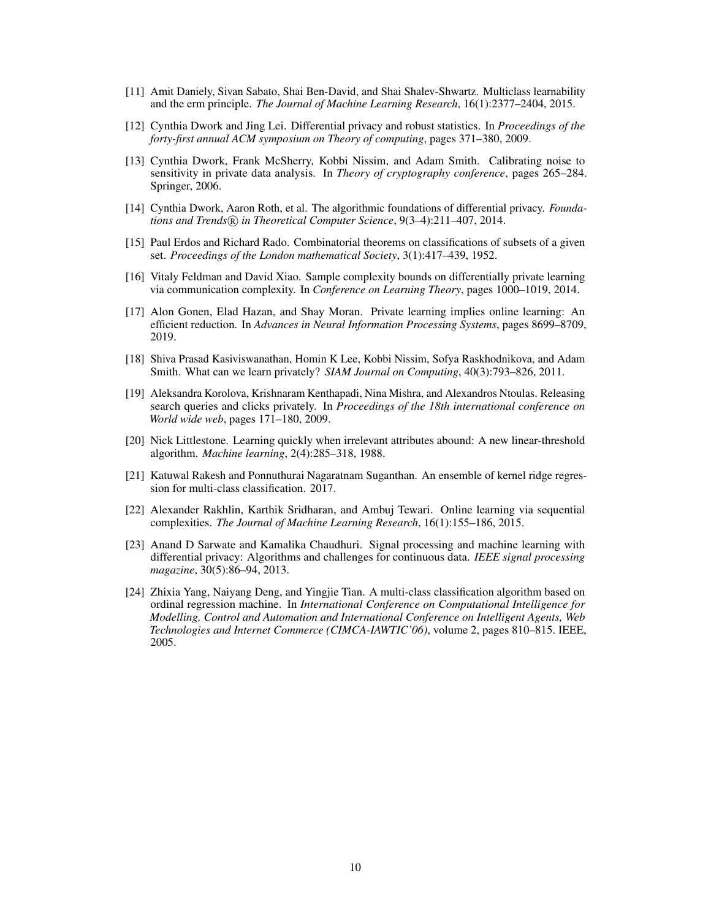- <span id="page-9-2"></span>[11] Amit Daniely, Sivan Sabato, Shai Ben-David, and Shai Shalev-Shwartz. Multiclass learnability and the erm principle. *The Journal of Machine Learning Research*, 16(1):2377–2404, 2015.
- <span id="page-9-4"></span>[12] Cynthia Dwork and Jing Lei. Differential privacy and robust statistics. In *Proceedings of the forty-first annual ACM symposium on Theory of computing*, pages 371–380, 2009.
- <span id="page-9-11"></span>[13] Cynthia Dwork, Frank McSherry, Kobbi Nissim, and Adam Smith. Calibrating noise to sensitivity in private data analysis. In *Theory of cryptography conference*, pages 265–284. Springer, 2006.
- <span id="page-9-5"></span>[14] Cynthia Dwork, Aaron Roth, et al. The algorithmic foundations of differential privacy. *Foundations and Trends* $(\overline{R})$  *in Theoretical Computer Science*, 9(3–4):211–407, 2014.
- <span id="page-9-13"></span>[15] Paul Erdos and Richard Rado. Combinatorial theorems on classifications of subsets of a given set. *Proceedings of the London mathematical Society*, 3(1):417–439, 1952.
- <span id="page-9-8"></span>[16] Vitaly Feldman and David Xiao. Sample complexity bounds on differentially private learning via communication complexity. In *Conference on Learning Theory*, pages 1000–1019, 2014.
- <span id="page-9-0"></span>[17] Alon Gonen, Elad Hazan, and Shay Moran. Private learning implies online learning: An efficient reduction. In *Advances in Neural Information Processing Systems*, pages 8699–8709, 2019.
- <span id="page-9-7"></span>[18] Shiva Prasad Kasiviswanathan, Homin K Lee, Kobbi Nissim, Sofya Raskhodnikova, and Adam Smith. What can we learn privately? *SIAM Journal on Computing*, 40(3):793–826, 2011.
- <span id="page-9-12"></span>[19] Aleksandra Korolova, Krishnaram Kenthapadi, Nina Mishra, and Alexandros Ntoulas. Releasing search queries and clicks privately. In *Proceedings of the 18th international conference on World wide web*, pages 171–180, 2009.
- <span id="page-9-1"></span>[20] Nick Littlestone. Learning quickly when irrelevant attributes abound: A new linear-threshold algorithm. *Machine learning*, 2(4):285–318, 1988.
- <span id="page-9-9"></span>[21] Katuwal Rakesh and Ponnuthurai Nagaratnam Suganthan. An ensemble of kernel ridge regression for multi-class classification. 2017.
- <span id="page-9-3"></span>[22] Alexander Rakhlin, Karthik Sridharan, and Ambuj Tewari. Online learning via sequential complexities. *The Journal of Machine Learning Research*, 16(1):155–186, 2015.
- <span id="page-9-6"></span>[23] Anand D Sarwate and Kamalika Chaudhuri. Signal processing and machine learning with differential privacy: Algorithms and challenges for continuous data. *IEEE signal processing magazine*, 30(5):86–94, 2013.
- <span id="page-9-10"></span>[24] Zhixia Yang, Naiyang Deng, and Yingjie Tian. A multi-class classification algorithm based on ordinal regression machine. In *International Conference on Computational Intelligence for Modelling, Control and Automation and International Conference on Intelligent Agents, Web Technologies and Internet Commerce (CIMCA-IAWTIC'06)*, volume 2, pages 810–815. IEEE, 2005.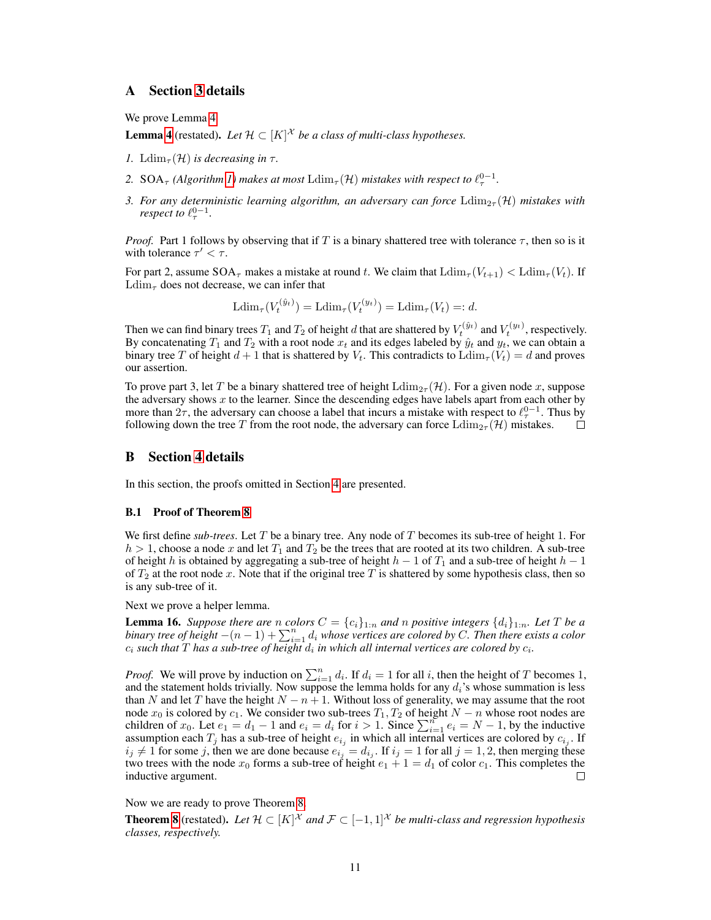# <span id="page-10-0"></span>A Section [3](#page-3-1) details

We prove Lemma [4.](#page-3-2)

**Lemma [4](#page-3-2)** (restated). Let  $\mathcal{H} \subset [K]^{\mathcal{X}}$  be a class of multi-class hypotheses.

- *1.* Ldim<sub> $\tau$ </sub>(H) *is decreasing in*  $\tau$ .
- 2. SOA<sub> $\tau$ </sub> (Algorithm [1\)](#page-4-2) makes at most  $\text{Ldim}_{\tau}(\mathcal{H})$  mistakes with respect to  $\ell_{\tau}^{0-1}$ .
- *3. For any deterministic learning algorithm, an adversary can force*  $\text{Ldim}_{2\tau}(\mathcal{H})$  *mistakes with respect to*  $\ell_{\tau}^{0-1}$ .

*Proof.* Part 1 follows by observing that if T is a binary shattered tree with tolerance  $\tau$ , then so is it with tolerance  $\tau' < \tau$ .

For part 2, assume  $SOA_\tau$  makes a mistake at round t. We claim that  $\text{Ldim}_{\tau}(V_{t+1}) < \text{Ldim}_{\tau}(V_t)$ . If  $\text{Ldim}_{\tau}$  does not decrease, we can infer that

Ldim<sub> $\tau(V_t^{(\hat{y}_t)}) = \text{Ldim}_{\tau}(V_t^{(y_t)}) = \text{Ldim}_{\tau}(V_t) =: d.$ </sub>

Then we can find binary trees  $T_1$  and  $T_2$  of height  $d$  that are shattered by  $V_t^{(\hat{y}_t)}$  and  $V_t^{(y_t)}$ , respectively. By concatenating  $T_1$  and  $T_2$  with a root node  $x_t$  and its edges labeled by  $\hat{y}_t$  and  $y_t$ , we can obtain a binary tree T of height  $d+1$  that is shattered by  $V_t$ . This contradicts to  $\text{Ldim}_{\tau}(V_t) = d$  and proves our assertion.

To prove part 3, let T be a binary shattered tree of height  $\text{Ldim}_{2\tau}(\mathcal{H})$ . For a given node x, suppose the adversary shows  $x$  to the learner. Since the descending edges have labels apart from each other by more than  $2\tau$ , the adversary can choose a label that incurs a mistake with respect to  $\ell_{\tau}^{0-1}$ . Thus by following down the tree T from the root node, the adversary can force  $\text{Ldim}_{2\tau}(\mathcal{H})$  mistakes. П

# <span id="page-10-1"></span>B Section [4](#page-4-1) details

In this section, the proofs omitted in Section [4](#page-4-1) are presented.

### B.1 Proof of Theorem [8](#page-5-0)

We first define *sub-trees*. Let T be a binary tree. Any node of T becomes its sub-tree of height 1. For  $h > 1$ , choose a node x and let  $T_1$  and  $T_2$  be the trees that are rooted at its two children. A sub-tree of height h is obtained by aggregating a sub-tree of height  $h - 1$  of  $T_1$  and a sub-tree of height  $h - 1$ of  $T_2$  at the root node x. Note that if the original tree T is shattered by some hypothesis class, then so is any sub-tree of it.

Next we prove a helper lemma.

<span id="page-10-2"></span>**Lemma 16.** *Suppose there are* n *colors*  $C = \{c_i\}_{1:n}$  *and* n positive integers  $\{d_i\}_{1:n}$ *. Let* T be a *binary tree of height*  $-(n-1) + \sum_{i=1}^{n} d_i$  *whose vertices are colored by* C. Then there exists a color  $c_i$  such that  $T$  has a sub-tree of height  $d_i$  in which all internal vertices are colored by  $c_i$ .

*Proof.* We will prove by induction on  $\sum_{i=1}^{n} d_i$ . If  $d_i = 1$  for all i, then the height of T becomes 1, and the statement holds trivially. Now suppose the lemma holds for any  $d_i$ 's whose summation is less than N and let T have the height  $N - n + 1$ . Without loss of generality, we may assume that the root node  $x_0$  is colored by  $c_1$ . We consider two sub-trees  $T_1, T_2$  of height  $N - n$  whose root nodes are children of  $x_0$ . Let  $e_1 = d_1 - 1$  and  $e_i = d_i$  for  $i > 1$ . Since  $\sum_{i=1}^{n} e_i = N - 1$ , by the inductive assumption each  $T_j$  has a sub-tree of height  $e_{i_j}$  in which all internal vertices are colored by  $c_{i_j}$ . If  $i_j \neq 1$  for some j, then we are done because  $e_{i_j} = d_{i_j}$ . If  $i_j = 1$  for all  $j = 1, 2$ , then merging these two trees with the node  $x_0$  forms a sub-tree of height  $e_1 + 1 = d_1$  of color  $c_1$ . This completes the inductive argument.  $\Box$ 

Now we are ready to prove Theorem [8.](#page-5-0)

**Theorem [8](#page-5-0)** (restated). Let  $\mathcal{H} \subset [K]^{\mathcal{X}}$  and  $\mathcal{F} \subset [-1,1]^{\mathcal{X}}$  be multi-class and regression hypothesis *classes, respectively.*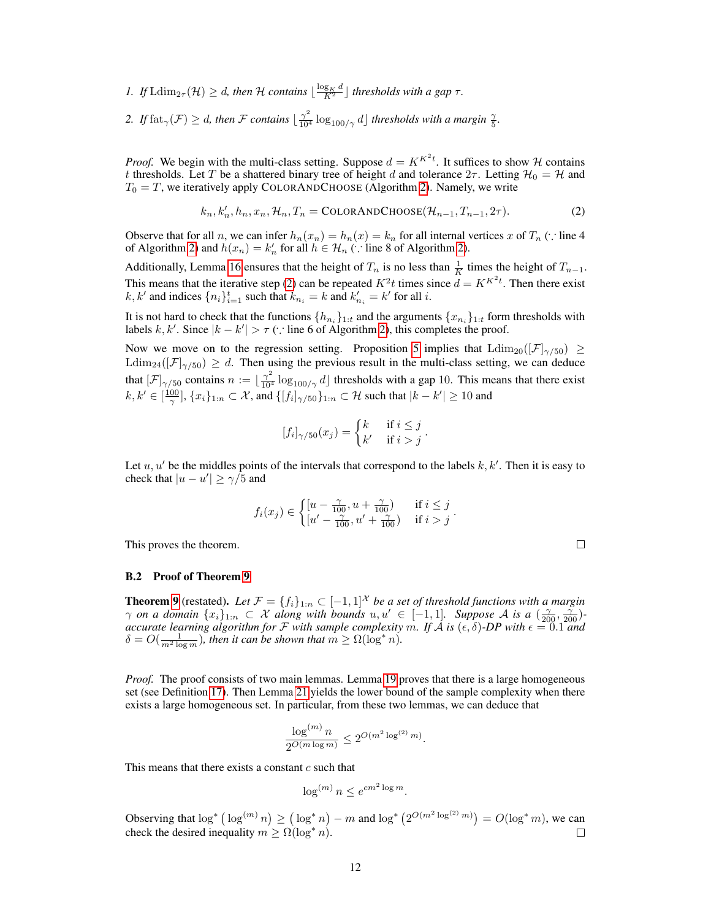- *1.* If  $\text{Ldim}_{2\tau}(\mathcal{H}) \geq d$ , then  $\mathcal{H}$  contains  $\lfloor \frac{\log_K d}{K^2} \rfloor$  thresholds with a gap  $\tau$ .
- 2. If  $\text{fat}_{\gamma}(\mathcal{F}) \geq d$ , then  $\mathcal F$  *contains*  $\lfloor \frac{\gamma^2}{10^4} \log_{100/\gamma} d \rfloor$  thresholds with a margin  $\frac{\gamma}{5}$ .

*Proof.* We begin with the multi-class setting. Suppose  $d = K^{K^2t}$ . It suffices to show H contains t thresholds. Let T be a shattered binary tree of height d and tolerance  $2\tau$ . Letting  $\mathcal{H}_0 = \mathcal{H}$  and  $T_0 = T$ , we iteratively apply COLORANDCHOOSE (Algorithm [2\)](#page-5-1). Namely, we write

$$
k_n, k'_n, h_n, x_n, \mathcal{H}_n, T_n = \text{COLORANDCHOOSE}(\mathcal{H}_{n-1}, T_{n-1}, 2\tau). \tag{2}
$$

Observe that for all n, we can infer  $h_n(x_n) = h_n(x) = k_n$  for all internal vertices x of  $T_n$  (∵ line 4 of Algorithm [2\)](#page-5-1) and  $h(x_n) = k'_n$  for all  $h \in \mathcal{H}_n$  (: line 8 of Algorithm 2).

Additionally, Lemma [16](#page-10-2) ensures that the height of  $T_n$  is no less than  $\frac{1}{K}$  times the height of  $T_{n-1}$ . This means that the iterative step [\(2\)](#page-11-0) can be repeated  $K^2t$  times since  $d = K^{K^2t}$ . Then there exist  $k, k'$  and indices  $\{n_i\}_{i=1}^t$  such that  $k_{n_i} = k$  and  $k'_{n_i} = k'$  for all i.

It is not hard to check that the functions  $\{h_{n_i}\}_{1:t}$  and the arguments  $\{x_{n_i}\}_{1:t}$  form thresholds with labels k, k'. Since  $|k - k'| > \tau$  (: line 6 of Algorithm [2\)](#page-5-1), this completes the proof.

Now we move on to the regression setting. Proposition [5](#page-4-0) implies that  $\text{Ldim}_{20}([\mathcal{F}]_{\gamma/50}) \geq$  $\text{Ldim}_{24}([\mathcal{F}]_{\gamma/50}) \geq d$ . Then using the previous result in the multi-class setting, we can deduce that  $[\mathcal{F}]_{\gamma/50}$  contains  $n := \lfloor \frac{\gamma^2}{10^4} \log_{100/\gamma} d \rfloor$  thresholds with a gap 10. This means that there exist  $k, k' \in [\frac{100}{\gamma}], \{x_i\}_{1:n} \subset \mathcal{X}$ , and  $\{[f_i]_{\gamma/50}\}_{1:n} \subset \mathcal{H}$  such that  $|k - k'| \ge 10$  and

$$
[f_i]_{\gamma/50}(x_j) = \begin{cases} k & \text{if } i \leq j \\ k' & \text{if } i > j \end{cases}
$$

<span id="page-11-0"></span>.

Let  $u, u'$  be the middles points of the intervals that correspond to the labels  $k, k'$ . Then it is easy to check that  $|u - u'| \ge \gamma/5$  and

$$
f_i(x_j) \in \begin{cases} [u - \frac{\gamma}{100}, u + \frac{\gamma}{100}) & \text{if } i \leq j \\ [u' - \frac{\gamma}{100}, u' + \frac{\gamma}{100}) & \text{if } i > j \end{cases}.
$$

This proves the theorem.

#### $\Box$

#### B.2 Proof of Theorem [9](#page-5-3)

**Theorem [9](#page-5-3)** (restated). Let  $\mathcal{F} = \{f_i\}_{1:n} \subset [-1,1]^{\mathcal{X}}$  be a set of threshold functions with a margin  $\gamma$  *on a domain*  $\{x_i\}_{1:n} \subset \mathcal{X}$  along with bounds  $u, u' \in [-1, 1]$ *. Suppose* A is a  $(\frac{\gamma}{200}, \frac{\gamma}{200})$ *accurate learning algorithm for*  $\mathcal F$  *with sample complexity* m. If  $\mathcal A$  *is*  $(\epsilon, \delta)$ -DP with  $\epsilon = 0.1$  and  $\delta = O(\frac{1}{m^2 \log m})$ , then it can be shown that  $m \ge \Omega(\log^* n)$ .

*Proof.* The proof consists of two main lemmas. Lemma [19](#page-12-0) proves that there is a large homogeneous set (see Definition [17\)](#page-12-1). Then Lemma [21](#page-13-0) yields the lower bound of the sample complexity when there exists a large homogeneous set. In particular, from these two lemmas, we can deduce that

$$
\frac{\log^{(m)} n}{2^{O(m \log m)}} \le 2^{O(m^2 \log^{(2)} m)}.
$$

This means that there exists a constant  $c$  such that

$$
\log^{(m)} n \le e^{cm^2 \log m}.
$$

Observing that  $\log^* (\log^{(m)} n) \geq (\log^* n) - m$  and  $\log^* (2^{O(m^2 \log^{(2)} m)}) = O(\log^* m)$ , we can check the desired inequality  $m \ge \Omega(\log^* n)$ . □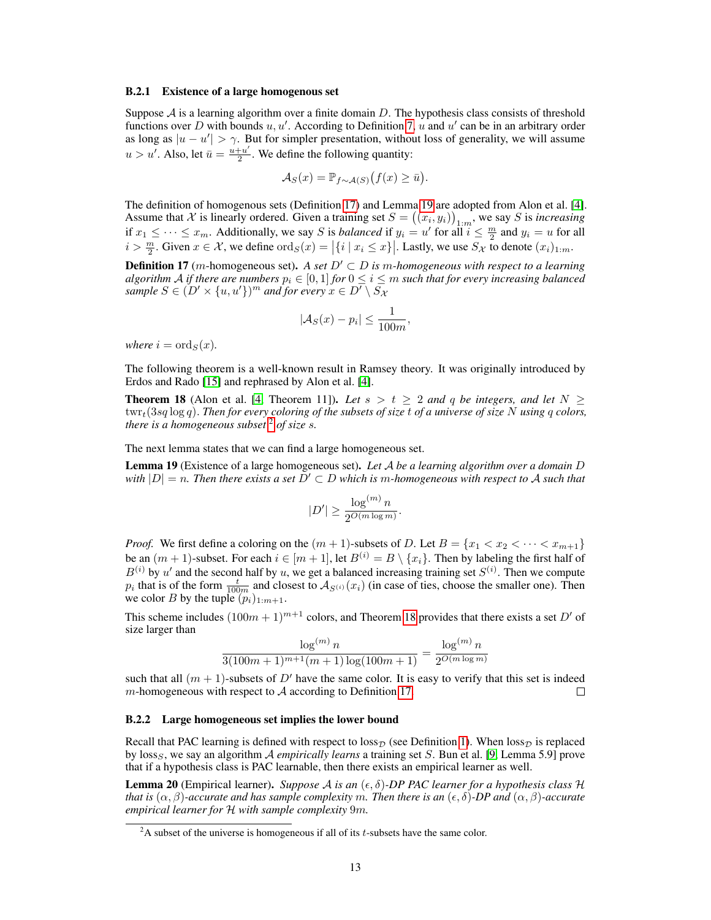#### B.2.1 Existence of a large homogenous set

Suppose  $A$  is a learning algorithm over a finite domain D. The hypothesis class consists of threshold functions over D with bounds  $u, u'$ . According to Definition [7,](#page-4-3) u and u' can be in an arbitrary order as long as  $|u - u'| > \gamma$ . But for simpler presentation, without loss of generality, we will assume  $u > u'$ . Also, let  $\bar{u} = \frac{u + u'}{2}$  $\frac{+u'}{2}$ . We define the following quantity:

$$
\mathcal{A}_S(x) = \mathbb{P}_{f \sim \mathcal{A}(S)}(f(x) \ge \bar{u}).
$$

The definition of homogenous sets (Definition [17\)](#page-12-1) and Lemma [19](#page-12-0) are adopted from Alon et al. [\[4\]](#page-8-0). Assume that X is linearly ordered. Given a training set  $S = ((x_i, y_i))_{1:m}$ , we say S is *increasing* if  $x_1 \leq \cdots \leq x_m$ . Additionally, we say S is *balanced* if  $y_i = u'$  for all  $i \leq \frac{m}{2}$  and  $y_i = u$  for all  $i > \frac{m}{2}$ . Given  $x \in \mathcal{X}$ , we define  $\text{ord}_S(x) = |\{i \mid x_i \leq x\}|$ . Lastly, we use  $S_{\mathcal{X}}$  to denote  $(x_i)_{1:m}$ .

<span id="page-12-1"></span>**Definition 17** (m-homogeneous set). A set  $D' \subset D$  is m-homogeneous with respect to a learning *algorithm* A *if there are numbers*  $p_i \in [0,1]$  *for*  $0 \le i \le m$  *such that for every increasing balanced sample*  $S \in (D' \times \{u, u'\})^m$  *and for every*  $x \in D' \setminus S_{\mathcal{X}}$ 

$$
|\mathcal{A}_S(x) - p_i| \le \frac{1}{100m},
$$

*where*  $i = \text{ord}_S(x)$ *.* 

The following theorem is a well-known result in Ramsey theory. It was originally introduced by Erdos and Rado [\[15\]](#page-9-13) and rephrased by Alon et al. [\[4\]](#page-8-0).

<span id="page-12-3"></span>**Theorem 18** (Alon et al. [\[4,](#page-8-0) Theorem 11]). Let  $s > t \geq 2$  and q be integers, and let  $N \geq 2$ twrt(3sq log q). *Then for every coloring of the subsets of size* t *of a universe of size* N *using* q *colors, there is a homogeneous subset* [2](#page-12-2) *of size* s*.*

The next lemma states that we can find a large homogeneous set.

<span id="page-12-0"></span>Lemma 19 (Existence of a large homogeneous set). *Let* A *be a learning algorithm over a domain* D *with*  $|D| = n$ . Then there exists a set  $D' \subset D$  which is m-homogeneous with respect to A such that

$$
|D'| \ge \frac{\log^{(m)} n}{2^{O(m \log m)}}.
$$

*Proof.* We first define a coloring on the  $(m + 1)$ -subsets of D. Let  $B = \{x_1 < x_2 < \cdots < x_{m+1}\}$ be an  $(m + 1)$ -subset. For each  $i \in [m + 1]$ , let  $B^{(i)} = B \setminus \{x_i\}$ . Then by labeling the first half of  $B^{(i)}$  by u' and the second half by u, we get a balanced increasing training set  $S^{(i)}$ . Then we compute  $p_i$  that is of the form  $\frac{t}{100m}$  and closest to  $\mathcal{A}_{S^{(i)}}(x_i)$  (in case of ties, choose the smaller one). Then we color B by the tuple  $(p_i)_{1:m+1}$ .

This scheme includes  $(100m + 1)^{m+1}$  colors, and Theorem [18](#page-12-3) provides that there exists a set D' of size larger than

$$
\frac{\log^{(m)} n}{3(100m+1)^{m+1}(m+1)\log(100m+1)} = \frac{\log^{(m)} n}{2^{O(m\log m)}}
$$

such that all  $(m + 1)$ -subsets of D' have the same color. It is easy to verify that this set is indeed  $m$ -homogeneous with respect to  $A$  according to Definition [17.](#page-12-1) П

### B.2.2 Large homogeneous set implies the lower bound

Recall that PAC learning is defined with respect to  $loss<sub>D</sub>$  (see Definition [1\)](#page-2-1). When  $loss<sub>D</sub>$  is replaced by loss<sub>S</sub>, we say an algorithm A *empirically learns* a training set S. Bun et al. [\[9,](#page-8-8) Lemma 5.9] prove that if a hypothesis class is PAC learnable, then there exists an empirical learner as well.

**Lemma 20** (Empirical learner). *Suppose A is an* ( $\epsilon$ ,  $\delta$ )-DP PAC learner for a hypothesis class H *that is*  $(\alpha, \beta)$ *-accurate and has sample complexity m. Then there is an*  $(\epsilon, \delta)$ *-DP and*  $(\alpha, \beta)$ *-accurate empirical learner for* H *with sample complexity* 9m*.*

<span id="page-12-2"></span> $2A$  subset of the universe is homogeneous if all of its t-subsets have the same color.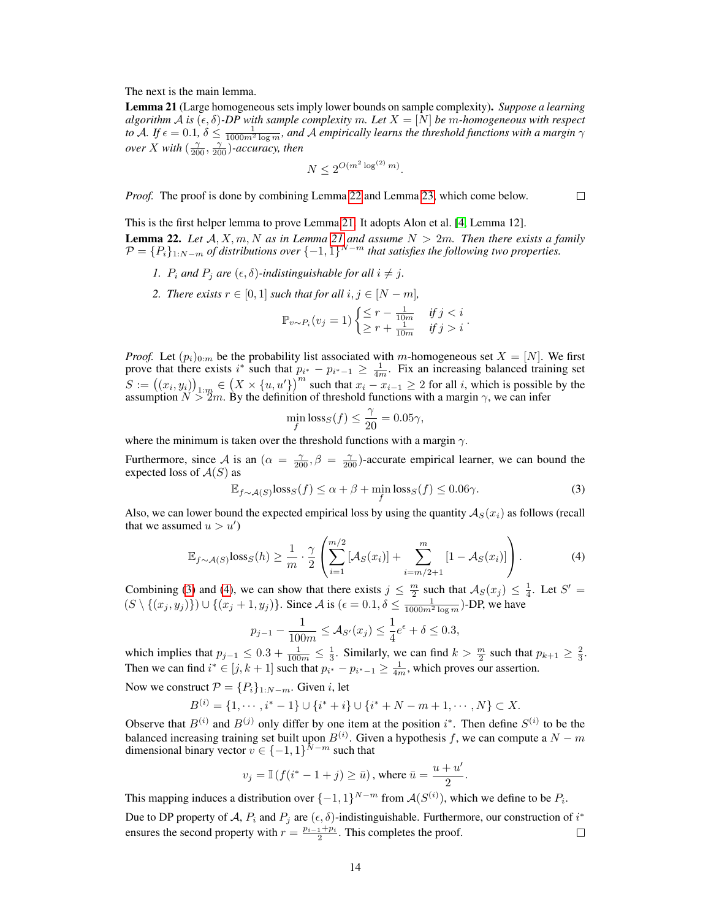The next is the main lemma.

<span id="page-13-0"></span>Lemma 21 (Large homogeneous sets imply lower bounds on sample complexity). *Suppose a learning algorithm* A *is*  $(\epsilon, \delta)$ -DP with sample complexity m. Let  $X = [N]$  be m-homogeneous with respect to A. If  $\epsilon = 0.1$ ,  $\delta \le \frac{1}{1000m^2\log m}$ , and A empirically learns the threshold functions with a margin  $\gamma$ *over* X with  $\left(\frac{\gamma}{200}, \frac{\gamma}{200}\right)$ -accuracy, then

$$
N \le 2^{O(m^2 \log^{(2)} m)}.
$$

*Proof.* The proof is done by combining Lemma [22](#page-13-1) and Lemma [23,](#page-14-1) which come below.

 $\Box$ 

<span id="page-13-1"></span>This is the first helper lemma to prove Lemma [21.](#page-13-0) It adopts Alon et al. [\[4,](#page-8-0) Lemma 12]. **Lemma 22.** Let  $A, X, m, N$  *as in Lemma [21](#page-13-0) and assume*  $N > 2m$ *. Then there exists a family* 

- $\mathcal{P} = \{P_i\}_{1:N-m}$  of distributions over  $\{-1,1\}^{N-m}$  that satisfies the following two properties.
	- *1.*  $P_i$  and  $P_j$  are  $(\epsilon, \delta)$ -indistinguishable for all  $i \neq j$ .
	- *2. There exists*  $r \in [0, 1]$  *such that for all*  $i, j \in [N m]$ *,*

$$
\mathbb{P}_{v \sim P_i}(v_j = 1) \begin{cases} \leq r - \frac{1}{10m} & \text{if } j < i \\ \geq r + \frac{1}{10m} & \text{if } j > i \end{cases}.
$$

*Proof.* Let  $(p_i)_{0:m}$  be the probability list associated with m-homogeneous set  $X = [N]$ . We first prove that there exists i<sup>\*</sup> such that  $p_{i^*} - p_{i^*-1} \geq \frac{1}{4m}$ . Fix an increasing balanced training set  $S := ((x_i, y_i))_{1:m} \in (X \times \{u, u'\})^m$  such that  $x_i - x_{i-1} \geq 2$  for all i, which is possible by the assumption  $N > 2m$ . By the definition of threshold functions with a margin  $\gamma$ , we can infer

$$
\min_{f} \text{loss}_{S}(f) \le \frac{\gamma}{20} = 0.05\gamma,
$$

where the minimum is taken over the threshold functions with a margin  $\gamma$ .

Furthermore, since A is an  $(\alpha = \frac{\gamma}{200}, \beta = \frac{\gamma}{200})$ -accurate empirical learner, we can bound the expected loss of  $A(S)$  as

<span id="page-13-3"></span><span id="page-13-2"></span>
$$
\mathbb{E}_{f \sim \mathcal{A}(S)} \text{loss}_S(f) \le \alpha + \beta + \min_f \text{loss}_S(f) \le 0.06\gamma. \tag{3}
$$

Also, we can lower bound the expected empirical loss by using the quantity  $A_S(x_i)$  as follows (recall that we assumed  $u > u'$ )

$$
\mathbb{E}_{f \sim \mathcal{A}(S)} \text{loss}_S(h) \ge \frac{1}{m} \cdot \frac{\gamma}{2} \left( \sum_{i=1}^{m/2} \left[ \mathcal{A}_S(x_i) \right] + \sum_{i=m/2+1}^{m} \left[ 1 - \mathcal{A}_S(x_i) \right] \right). \tag{4}
$$

Combining [\(3\)](#page-13-2) and [\(4\)](#page-13-3), we can show that there exists  $j \leq \frac{m}{2}$  such that  $A_S(x_j) \leq \frac{1}{4}$ . Let  $S' =$  $(S \setminus \{(x_j, y_j)\}) \cup \{(x_j + 1, y_j)\}\)$ . Since A is  $(\epsilon = 0.1, \delta \leq \frac{1}{1000m^2 \log m})$ -DP, we have

$$
p_{j-1} - \frac{1}{100m} \le \mathcal{A}_{S'}(x_j) \le \frac{1}{4}e^{\epsilon} + \delta \le 0.3,
$$

which implies that  $p_{j-1} \leq 0.3 + \frac{1}{100m} \leq \frac{1}{3}$ . Similarly, we can find  $k > \frac{m}{2}$  such that  $p_{k+1} \geq \frac{2}{3}$ . Then we can find  $i^* \in [j, k+1]$  such that  $p_{i^*} - p_{i^*-1} \geq \frac{1}{4m}$ , which proves our assertion.

Now we construct  $\mathcal{P} = \{P_i\}_{1:N-m}$ . Given *i*, let

$$
B^{(i)} = \{1, \cdots, i^* - 1\} \cup \{i^* + i\} \cup \{i^* + N - m + 1, \cdots, N\} \subset X.
$$

Observe that  $B^{(i)}$  and  $B^{(j)}$  only differ by one item at the position  $i^*$ . Then define  $S^{(i)}$  to be the balanced increasing training set built upon  $B^{(i)}$ . Given a hypothesis f, we can compute a  $N - m$ dimensional binary vector  $v \in \{-1,1\}^{N-m}$  such that

$$
v_j = \mathbb{I}\left(f(i^*-1+j) \geq \bar{u}\right)\text{, where }\bar{u}=\frac{u+u'}{2}.
$$

This mapping induces a distribution over  $\{-1,1\}^{N-m}$  from  $\mathcal{A}(S^{(i)})$ , which we define to be  $P_i$ .

Due to DP property of A,  $P_i$  and  $P_j$  are  $(\epsilon, \delta)$ -indistinguishable. Furthermore, our construction of  $i^*$ ensures the second property with  $r = \frac{p_{i-1} + p_i}{2}$ . This completes the proof.  $\Box$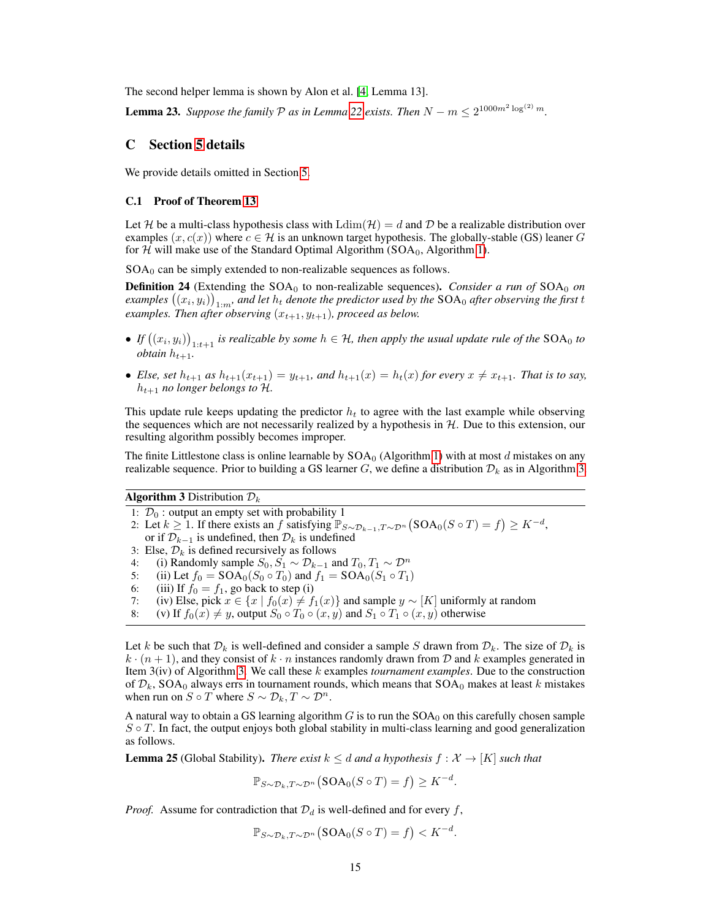The second helper lemma is shown by Alon et al. [\[4,](#page-8-0) Lemma 13].

<span id="page-14-1"></span>**Lemma 23.** Suppose the family  $P$  as in Lemma [22](#page-13-1) exists. Then  $N - m \leq 2^{1000m^2 \log^{(2)} m}$ .

## <span id="page-14-0"></span>C Section [5](#page-6-0) details

We provide details omitted in Section [5.](#page-6-0)

### C.1 Proof of Theorem [13](#page-6-2)

Let H be a multi-class hypothesis class with  $\text{Ldim}(\mathcal{H}) = d$  and D be a realizable distribution over examples  $(x, c(x))$  where  $c \in \mathcal{H}$  is an unknown target hypothesis. The globally-stable (GS) leaner G for  $H$  will make use of the Standard Optimal Algorithm (SOA<sub>0</sub>, Algorithm [1\)](#page-4-2).

 $SOA<sub>0</sub>$  can be simply extended to non-realizable sequences as follows.

**Definition 24** (Extending the SOA<sub>0</sub> to non-realizable sequences). *Consider a run of* SOA<sub>0</sub> *on* examples  $\big((x_i,y_i)\big)_{1:m'}$  and let  $h_t$  denote the predictor used by the  $\textsf{SOA}_0$  after observing the first  $t$ *examples. Then after observing*  $(x_{t+1}, y_{t+1})$ *, proceed as below.* 

- If  $((x_i, y_i))_{1:t+1}$  is realizable by some  $h \in H$ , then apply the usual update rule of the SOA<sub>0</sub> to  $obtain h_{t+1}$ .
- *Else, set*  $h_{t+1}$  *as*  $h_{t+1}(x_{t+1}) = y_{t+1}$ *, and*  $h_{t+1}(x) = h_t(x)$  *for every*  $x \neq x_{t+1}$ *. That is to say,*  $h_{t+1}$  *no longer belongs to H.*

This update rule keeps updating the predictor  $h_t$  to agree with the last example while observing the sequences which are not necessarily realized by a hypothesis in  $H$ . Due to this extension, our resulting algorithm possibly becomes improper.

The finite Littlestone class is online learnable by  $SOA<sub>0</sub>$  (Algorithm [1\)](#page-4-2) with at most d mistakes on any realizable sequence. Prior to building a GS learner G, we define a distribution  $\mathcal{D}_k$  as in Algorithm [3.](#page-14-2)

**Algorithm 3** Distribution  $\mathcal{D}_k$ 

- <span id="page-14-2"></span>1:  $\mathcal{D}_0$  : output an empty set with probability 1
- 2: Let  $k \ge 1$ . If there exists an f satisfying  $\mathbb{P}_{S \sim \mathcal{D}_{k-1}, T \sim \mathcal{D}^n}(\text{SOA}_0(S \circ T) = f) \ge K^{-d}$ ,
- or if  $\mathcal{D}_{k-1}$  is undefined, then  $\mathcal{D}_k$  is undefined
- 3: Else,  $\mathcal{D}_k$  is defined recursively as follows
- 4: (i) Randomly sample  $S_0, S_1 \sim \mathcal{D}_{k-1}$  and  $T_0, T_1 \sim \mathcal{D}^n$
- 5: (ii) Let  $f_0 = SOA_0(S_0 \circ T_0)$  and  $f_1 = SOA_0(S_1 \circ T_1)$
- 6: (iii) If  $f_0 = f_1$ , go back to step (i)
- 7: (iv) Else, pick  $x \in \{x \mid f_0(x) \neq f_1(x)\}$  and sample  $y \sim [K]$  uniformly at random 8: (v) If  $f_0(x) \neq y$ , output  $S_0 \circ T_0 \circ (x, y)$  and  $S_1 \circ T_1 \circ (x, y)$  otherwise
- (v) If  $f_0(x) \neq y$ , output  $S_0 \circ T_0 \circ (x, y)$  and  $S_1 \circ T_1 \circ (x, y)$  otherwise

Let k be such that  $\mathcal{D}_k$  is well-defined and consider a sample S drawn from  $\mathcal{D}_k$ . The size of  $\mathcal{D}_k$  is  $k \cdot (n+1)$ , and they consist of  $k \cdot n$  instances randomly drawn from D and k examples generated in Item 3(iv) of Algorithm [3.](#page-14-2) We call these k examples *tournament examples*. Due to the construction of  $\mathcal{D}_k$ , SOA<sub>0</sub> always errs in tournament rounds, which means that SOA<sub>0</sub> makes at least k mistakes when run on  $S \circ T$  where  $S \sim \mathcal{D}_k, T \sim \mathcal{D}^n$ .

A natural way to obtain a GS learning algorithm  $G$  is to run the  $SOA<sub>0</sub>$  on this carefully chosen sample  $S \circ T$ . In fact, the output enjoys both global stability in multi-class learning and good generalization as follows.

<span id="page-14-3"></span>**Lemma 25** (Global Stability). *There exist*  $k \leq d$  *and a hypothesis*  $f : \mathcal{X} \rightarrow [K]$  *such that* 

$$
\mathbb{P}_{S \sim \mathcal{D}_k, T \sim \mathcal{D}^n}(\text{SOA}_0(S \circ T) = f) \geq K^{-d}.
$$

*Proof.* Assume for contradiction that  $\mathcal{D}_d$  is well-defined and for every f,

$$
\mathbb{P}_{S \sim \mathcal{D}_k, T \sim \mathcal{D}^n}(\text{SOA}_0(S \circ T) = f) < K^{-d}.
$$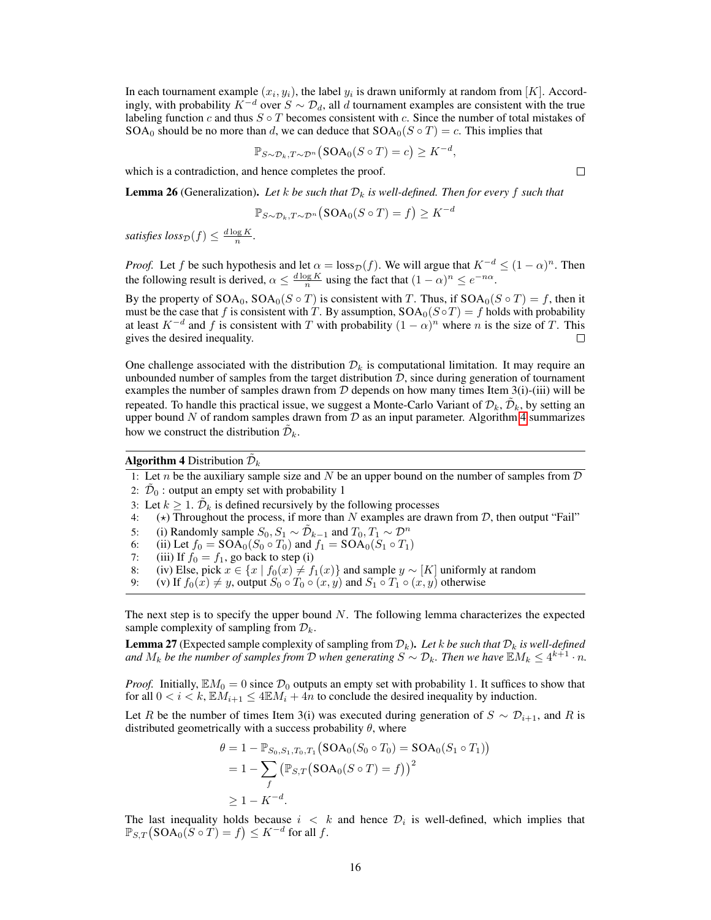In each tournament example  $(x_i, y_i)$ , the label  $y_i$  is drawn uniformly at random from [K]. Accordingly, with probability  $K^{-d}$  over  $S \sim \mathcal{D}_d$ , all d tournament examples are consistent with the true labeling function c and thus  $S \circ T$  becomes consistent with c. Since the number of total mistakes of SOA<sub>0</sub> should be no more than d, we can deduce that  $SOA_0(S \circ T) = c$ . This implies that

$$
\mathbb{P}_{S \sim \mathcal{D}_k, T \sim \mathcal{D}^n}(\text{SOA}_0(S \circ T) = c) \geq K^{-d},
$$

which is a contradiction, and hence completes the proof.

<span id="page-15-1"></span>**Lemma 26** (Generalization). Let k be such that  $\mathcal{D}_k$  is well-defined. Then for every f such that

$$
\mathbb{P}_{S \sim \mathcal{D}_k, T \sim \mathcal{D}^n}(\text{SOA}_0(S \circ T) = f) \geq K^{-d}
$$

*satisfies*  $loss_{\mathcal{D}}(f) \leq \frac{d \log K}{n}$ .

*Proof.* Let f be such hypothesis and let  $\alpha = \text{loss}_{\mathcal{D}}(f)$ . We will argue that  $K^{-d} \leq (1 - \alpha)^n$ . Then the following result is derived,  $\alpha \leq \frac{d \log K}{n}$  using the fact that  $(1 - \alpha)^n \leq e^{-n\alpha}$ .

By the property of  $SOA_0$ ,  $SOA_0(S \circ T)$  is consistent with T. Thus, if  $SOA_0(S \circ T) = f$ , then it must be the case that f is consistent with T. By assumption,  $SOA_0(S \circ T) = f$  holds with probability at least  $K^{-d}$  and f is consistent with T with probability  $(1 - \alpha)^n$  where n is the size of T. This gives the desired inequality.  $\Box$ 

One challenge associated with the distribution  $\mathcal{D}_k$  is computational limitation. It may require an unbounded number of samples from the target distribution  $D$ , since during generation of tournament examples the number of samples drawn from  $D$  depends on how many times Item 3(i)-(iii) will be repeated. To handle this practical issue, we suggest a Monte-Carlo Variant of  $\mathcal{D}_k$ ,  $\tilde{\mathcal{D}}_k$ , by setting an upper bound N of random samples drawn from  $\mathcal D$  as an input parameter. Algorithm [4](#page-15-0) summarizes how we construct the distribution  $\tilde{\mathcal{D}}_k$ .

Algorithm 4 Distribution  $\tilde{\mathcal{D}}_k$ 

<span id="page-15-0"></span>1: Let *n* be the auxiliary sample size and  $N$  be an upper bound on the number of samples from  $D$ 

2:  $\tilde{\mathcal{D}}_0$  : output an empty set with probability 1

3: Let  $k \geq 1$ .  $\tilde{\mathcal{D}}_k$  is defined recursively by the following processes

4:  $(\star)$  Throughout the process, if more than N examples are drawn from D, then output "Fail"

- 5: (i) Randomly sample  $S_0, S_1 \sim \tilde{\mathcal{D}}_{k-1}$  and  $T_0, T_1 \sim \mathcal{D}^n$
- 6: (ii) Let  $f_0 = SOA_0(S_0 \circ T_0)$  and  $f_1 = SOA_0(S_1 \circ T_1)$

7: (iii) If  $f_0 = f_1$ , go back to step (i)

- 8: (iv) Else, pick  $x \in \{x \mid f_0(x) \neq f_1(x)\}$  and sample  $y \sim [K]$  uniformly at random
- 9: (v) If  $f_0(x) \neq y$ , output  $S_0 \circ T_0 \circ (x, y)$  and  $S_1 \circ T_1 \circ (x, y)$  otherwise

The next step is to specify the upper bound  $N$ . The following lemma characterizes the expected sample complexity of sampling from  $\mathcal{D}_k$ .

<span id="page-15-2"></span>**Lemma 27** (Expected sample complexity of sampling from  $\mathcal{D}_k$ ). Let k be such that  $\mathcal{D}_k$  is well-defined and  $M_k$  be the number of samples from D when generating  $S \sim \mathcal{D}_k$ . Then we have  $\mathbb{E} M_k \leq 4^{k+1} \cdot n$ .

*Proof.* Initially,  $EM_0 = 0$  since  $\mathcal{D}_0$  outputs an empty set with probability 1. It suffices to show that for all  $0 < i < k$ ,  $\mathbb{E}M_{i+1} \leq 4\mathbb{E}M_i + 4n$  to conclude the desired inequality by induction.

Let R be the number of times Item 3(i) was executed during generation of  $S \sim \mathcal{D}_{i+1}$ , and R is distributed geometrically with a success probability  $\theta$ , where

$$
\theta = 1 - \mathbb{P}_{S_0, S_1, T_0, T_1} (\text{SOA}_0(S_0 \circ T_0) = \text{SOA}_0(S_1 \circ T_1))
$$
  
= 1 -  $\sum_f (\mathbb{P}_{S,T} (\text{SOA}_0(S \circ T) = f))^2$   
 $\ge 1 - K^{-d}.$ 

The last inequality holds because  $i < k$  and hence  $\mathcal{D}_i$  is well-defined, which implies that  $\mathbb{P}_{S,T}\big(\mathrm{SOA}_0(S\circ \check{T})=f\big)\leq K^{-d}$  for all  $f.$ 

 $\Box$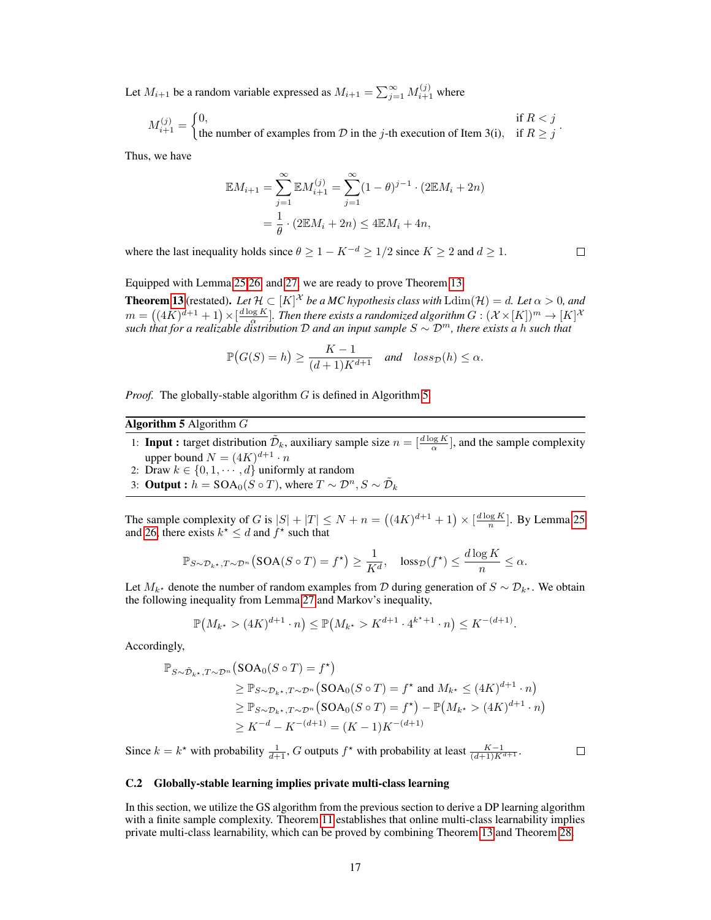Let  $M_{i+1}$  be a random variable expressed as  $M_{i+1} = \sum_{j=1}^{\infty} M_{i+1}^{(j)}$  where

$$
M_{i+1}^{(j)} = \begin{cases} 0, & \text{if } R < j \\ \text{the number of examples from } \mathcal{D} \text{ in the } j \text{-th execution of Item 3(i)}, & \text{if } R \ge j \end{cases}.
$$

Thus, we have

$$
\mathbb{E}M_{i+1} = \sum_{j=1}^{\infty} \mathbb{E}M_{i+1}^{(j)} = \sum_{j=1}^{\infty} (1 - \theta)^{j-1} \cdot (2\mathbb{E}M_i + 2n)
$$

$$
= \frac{1}{\theta} \cdot (2\mathbb{E}M_i + 2n) \le 4\mathbb{E}M_i + 4n,
$$

where the last inequality holds since  $\theta \ge 1 - K^{-d} \ge 1/2$  since  $K \ge 2$  and  $d \ge 1$ .

 $\Box$ 

Equipped with Lemma [25](#page-14-3)[,26,](#page-15-1) and [27,](#page-15-2) we are ready to prove Theorem [13.](#page-6-2)

**Theorem [13](#page-6-2)** (restated). Let  $\mathcal{H} \subset [K]^{\mathcal{X}}$  be a MC hypothesis class with  $\text{Ldim}(\mathcal{H}) = d$ . Let  $\alpha > 0$ , and  $m = \big((4K)^{d+1}+1\big)\times [\frac{d\log K}{\alpha}].$  Then there exists a randomized algorithm  $G:(\mathcal{X}\times [K])^m\to [K]^{\mathcal{X}}$ *such that for a realizable distribution* D *and an input sample* S ∼ D<sup>m</sup>*, there exists a* h *such that*

$$
\mathbb{P}(G(S) = h) \ge \frac{K - 1}{(d+1)K^{d+1}} \quad \text{and} \quad loss_{\mathcal{D}}(h) \le \alpha.
$$

*Proof.* The globally-stable algorithm G is defined in Algorithm [5.](#page-16-0)

Algorithm 5 Algorithm  $G$ 

- <span id="page-16-0"></span>1: **Input :** target distribution  $\tilde{\mathcal{D}}_k$ , auxiliary sample size  $n = \left[\frac{d \log K}{\alpha}\right]$ , and the sample complexity upper bound  $N = (4K)^{d+1} \cdot n$
- 2: Draw  $k \in \{0, 1, \dots, d\}$  uniformly at random
- 3: Output :  $h = SOA_0(S \circ T)$ , where  $T \sim \mathcal{D}^n$ ,  $S \sim \tilde{\mathcal{D}}_k$

The sample complexity of G is  $|S| + |T| \le N + n = ((4K)^{d+1} + 1) \times [\frac{d \log K}{n}]$ . By Lemma [25](#page-14-3) and [26,](#page-15-1) there exists  $k^* \leq d$  and  $f^*$  such that

$$
\mathbb{P}_{S \sim \mathcal{D}_{k^\star}, T \sim \mathcal{D}^n} \big( \text{SOA}(S \circ T) = f^\star \big) \ge \frac{1}{K^d}, \quad \text{loss}_{\mathcal{D}}(f^\star) \le \frac{d \log K}{n} \le \alpha.
$$

Let  $M_{k^*}$  denote the number of random examples from D during generation of  $S \sim \mathcal{D}_{k^*}$ . We obtain the following inequality from Lemma [27](#page-15-2) and Markov's inequality,

$$
\mathbb{P}(M_{k^*} > (4K)^{d+1} \cdot n) \le \mathbb{P}(M_{k^*} > K^{d+1} \cdot 4^{k^*+1} \cdot n) \le K^{-(d+1)}.
$$

Accordingly,

$$
\mathbb{P}_{S \sim \tilde{\mathcal{D}}_{k^*}, T \sim \mathcal{D}^n}(\text{SOA}_0(S \circ T) = f^*)
$$
\n
$$
\geq \mathbb{P}_{S \sim \mathcal{D}_{k^*}, T \sim \mathcal{D}^n}(\text{SOA}_0(S \circ T) = f^* \text{ and } M_{k^*} \leq (4K)^{d+1} \cdot n)
$$
\n
$$
\geq \mathbb{P}_{S \sim \mathcal{D}_{k^*}, T \sim \mathcal{D}^n}(\text{SOA}_0(S \circ T) = f^*) - \mathbb{P}(M_{k^*} > (4K)^{d+1} \cdot n)
$$
\n
$$
\geq K^{-d} - K^{-(d+1)} = (K - 1)K^{-(d+1)}
$$

Since  $k = k^*$  with probability  $\frac{1}{d+1}$ , G outputs  $f^*$  with probability at least  $\frac{K-1}{(d+1)K^{d+1}}$ .

 $\Box$ 

#### C.2 Globally-stable learning implies private multi-class learning

In this section, we utilize the GS algorithm from the previous section to derive a DP learning algorithm with a finite sample complexity. Theorem [11](#page-6-1) establishes that online multi-class learnability implies private multi-class learnability, which can be proved by combining Theorem [13](#page-6-2) and Theorem [28.](#page-17-0)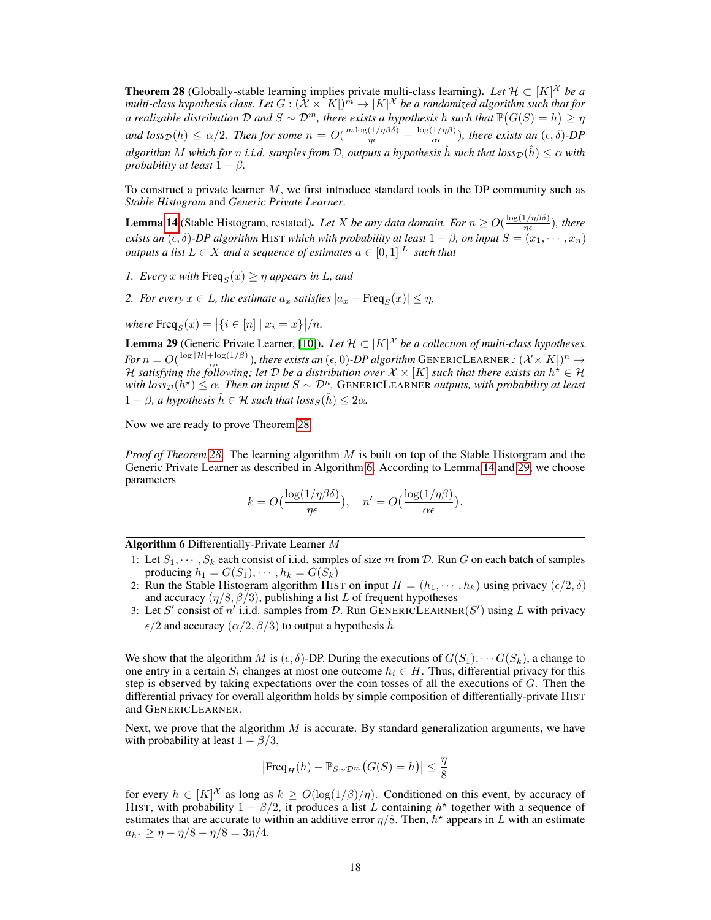<span id="page-17-0"></span>**Theorem 28** (Globally-stable learning implies private multi-class learning). Let  $\mathcal{H} \subset [K]^{\mathcal{X}}$  be a multi-class hypothesis class. Let  $G:(\mathcal{X}\times\tilde{[}K])^{\tilde{m}}\to [K]^{\mathcal{X}}$  be a randomized algorithm such that for *a realizable distribution* D and  $S \sim \mathcal{D}^m$ , there exists a hypothesis h such that  $\mathbb{P}(G(S) = h) \geq \eta$ *and*  $loss_{\mathcal{D}}(h) \le \alpha/2$ . *Then for some*  $n = O(\frac{m \log(1/\eta \beta \delta)}{\eta \epsilon} + \frac{\log(1/\eta \beta)}{\alpha \epsilon})$  $\frac{1/\eta(\beta)}{\alpha \epsilon}$ ), there exists an  $(\epsilon, \delta)$ -DP *algorithm* M *which for n i.i.d. samples from* D, *outputs a hypothesis*  $\hat{h}$  *such that*  $loss_{\mathcal{D}}(\hat{h}) \leq \alpha$  *with probability at least*  $1 - \beta$ *.* 

To construct a private learner  $M$ , we first introduce standard tools in the DP community such as *Stable Histogram* and *Generic Private Learner*.

**Lemma [14](#page-7-1)** (Stable Histogram, restated). Let X be any data domain. For  $n \geq O(\frac{\log(1/n\beta\delta)}{n\epsilon})$  $\frac{1/\eta\beta\delta)}{\eta\epsilon}$ ), there *exists an*  $(\epsilon, \delta)$ -DP algorithm HIST which with probability at least  $1 - \beta$ , on input  $S = (x_1, \dots, x_n)$ *outputs a list*  $L \in X$  *and a sequence of estimates*  $a \in [0, 1]^{|L|}$  *such that* 

*1. Every* x with  $\text{Freq}_S(x) \geq \eta$  appears in L, and

*2. For every*  $x \in L$ *, the estimate*  $a_x$  *satisfies*  $|a_x - \text{Freq}_S(x)| \leq \eta$ *,* 

 $where \, \text{Freq}_S(x) = |\{i \in [n] \mid x_i = x\}|/n.$ 

<span id="page-17-2"></span>**Lemma 29** (Generic Private Learner, [\[10\]](#page-8-1)). Let  $\mathcal{H} \subset [K]^{\mathcal{X}}$  be a collection of multi-class hypotheses. *For*  $n = O(\frac{\log |\mathcal{H}| + \log(1/\beta)}{\alpha \epsilon})$ , there exists an  $(\epsilon, 0)$ -*DP algorithm* GENERICLEARNER :  $(\mathcal{X} \times [K])^n \to$  $\mathcal{H}$  *satisfying the following; let* D *be a distribution over*  $\mathcal{X} \times [K]$  *such that there exists an*  $h^* \in \mathcal{H}$ <br>H satisfying the following; let D be a distribution over  $\mathcal{X} \times [K]$  such that there exists an  $with \, loss_{\mathcal{D}}(h^*) \leq \alpha$ . Then on input  $S \sim \mathcal{D}^n$ , GENERICLEARNER *outputs, with probability at least*  $1 - \beta$ *, a hypothesis*  $\hat{h} \in \mathcal{H}$  *such that*  $loss_S(\hat{h}) \leq 2\alpha$ *.* 

Now we are ready to prove Theorem [28.](#page-17-0)

*Proof of Theorem [28.](#page-17-0)* The learning algorithm M is built on top of the Stable Historgram and the Generic Private Learner as described in Algorithm [6.](#page-17-1) According to Lemma [14](#page-7-1) and [29,](#page-17-2) we choose parameters

$$
k = O\left(\frac{\log(1/\eta\beta\delta)}{\eta\epsilon}\right), \quad n' = O\left(\frac{\log(1/\eta\beta)}{\alpha\epsilon}\right).
$$

Algorithm 6 Differentially-Private Learner M

- <span id="page-17-1"></span>1: Let  $S_1, \dots, S_k$  each consist of i.i.d. samples of size m from D. Run G on each batch of samples producing  $h_1 = G(S_1), \cdots, h_k = G(S_k)$
- 2: Run the Stable Histogram algorithm HIST on input  $H = (h_1, \dots, h_k)$  using privacy  $(\epsilon/2, \delta)$ and accuracy  $(\eta/8, \beta\bar{)}3)$ , publishing a list L of frequent hypotheses
- 3: Let S' consist of n'i.i.d. samples from D. Run GENERICLEARNER(S') using L with privacy  $\epsilon/2$  and accuracy  $(\alpha/2, \beta/3)$  to output a hypothesis  $\hat{h}$

We show that the algorithm M is  $(\epsilon, \delta)$ -DP. During the executions of  $G(S_1), \cdots G(S_k)$ , a change to one entry in a certain  $S_i$  changes at most one outcome  $h_i \in H$ . Thus, differential privacy for this step is observed by taking expectations over the coin tosses of all the executions of  $G$ . Then the differential privacy for overall algorithm holds by simple composition of differentially-private HIST and GENERICLEARNER.

Next, we prove that the algorithm  $M$  is accurate. By standard generalization arguments, we have with probability at least  $1 - \beta/3$ ,

$$
\left|\text{Freq}_H(h) - \mathbb{P}_{S \sim \mathcal{D}^m}\big(G(S) = h\big)\right| \le \frac{\eta}{8}
$$

for every  $h \in [K]^{\mathcal{X}}$  as long as  $k \ge O(\log(1/\beta)/\eta)$ . Conditioned on this event, by accuracy of HIST, with probability  $1 - \beta/2$ , it produces a list L containing  $h^*$  together with a sequence of estimates that are accurate to within an additive error  $\eta/8$ . Then,  $h^*$  appears in L with an estimate  $a_{h^*} \geq \eta - \eta/8 - \eta/8 = 3\eta/4.$